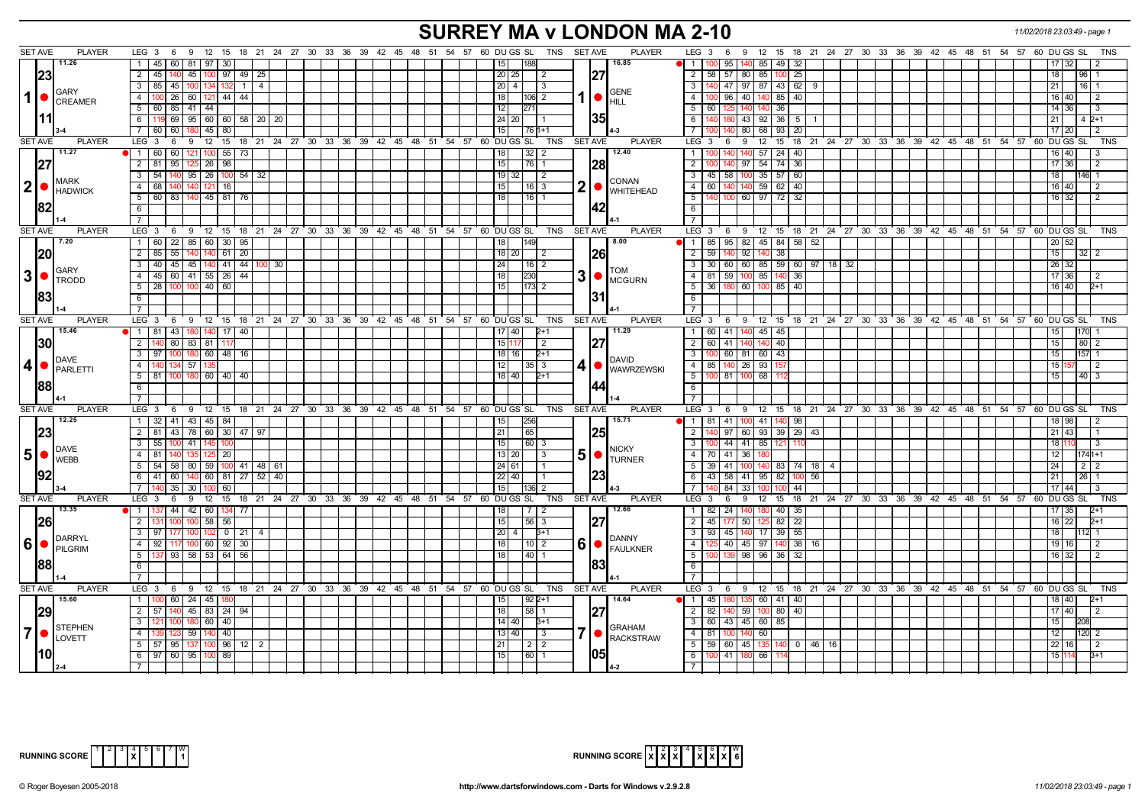## **SURREY MA v LONDON MA 2-10** *11/02/2018 23:03:49 - page 1*

| SET AVE<br><b>PLAYER</b>            | <b>SET AVE</b><br><b>PLAYER</b><br>LEG 3 6 9 12 15 18 21 24 27 30 33 36 39 42 45 48 51 54 57 60 DUGS SL<br>TNS                                                     | LEG $3 \quad 6$<br>9 12 15 18 21 24 27 30 33 36 39 42 45 48 51 54 57 60 DUGS SL                                |
|-------------------------------------|--------------------------------------------------------------------------------------------------------------------------------------------------------------------|----------------------------------------------------------------------------------------------------------------|
| 11.26                               | 1 45 60 81<br>97<br>16.85<br>30<br>18۶                                                                                                                             | $\overline{1}$<br>95<br>-85 I<br>49 I<br>- 32                                                                  |
|                                     | $2 \mid 45 \mid$                                                                                                                                                   |                                                                                                                |
| 23                                  | 127<br>140 45 100 97 49 25<br>20 25 <br>-2                                                                                                                         | 2 <sup>1</sup><br>58 57 80 85 100<br>25<br>96                                                                  |
| GARY                                | 3   85   45   100   134   132   1  <br>$20 \mid 4 \mid$<br>$\overline{4}$<br>  3<br><b>GENE</b>                                                                    | 3   140   47   97   87   43   62   9<br>16                                                                     |
| 1   ●<br><b>CREAMER</b>             | 1   ●<br>100 26 60 121 44 44<br>4 I<br>18 <sup>1</sup><br> 106  2<br><b>HILL</b>                                                                                   | 4   100   96   40   140   85   40<br>16   40                                                                   |
|                                     | 5 60 85 41 44<br>12<br>271                                                                                                                                         | 5<br>60   125<br>140 140 36<br>14 36<br>-3                                                                     |
| 111                                 | 135<br>6<br>69 95 60 60 58 20 20<br>24 20 <br>119                                                                                                                  | 6<br>43 92 36 5<br>$4\,2+1$                                                                                    |
|                                     | $7 \overline{60}$<br>60 180 45 80<br>15<br>  76   1+1                                                                                                              | $\overline{7}$<br>80 68 93 20<br>17 20<br>-2                                                                   |
| <b>SET AVE</b><br><b>PLAYER</b>     | LEG 3 6 9 12 15 18 21 24 27 30 33 36 39 42 45 48 51 54 57 60 DUGS SL<br>TNS<br>SET AVE<br><b>PLAYER</b>                                                            | LEG <sub>3</sub><br>9 12 15 18 21 24 27 30 33 36 39 42 45 48 51 54 57 60 DUGS SL<br><b>TNS</b><br>6            |
| 11.27                               | 12.40<br>$1 \overline{60}$<br>60<br>$55 \mid 73$<br>32<br>100<br>18                                                                                                | 57<br>$24 \mid 40$<br>$\mathbf{1}$                                                                             |
| 127                                 | 98<br>128<br>$2 \mid 81$<br>15<br>95 125 26<br>  76   1                                                                                                            | $\overline{2}$<br>97 54 74 36<br>17 36                                                                         |
|                                     | 3 54 140 95 26 100 54 32<br>$19$ 32<br>2                                                                                                                           | $\overline{3}$<br>100 35 57 60<br>$45 \mid 58$<br>146                                                          |
| <b>MARK</b><br>2 <sup>1</sup>       | <b>CONAN</b><br>4<br>68<br>121<br>16<br>15<br>$16 \mid 3$                                                                                                          | $\overline{4}$<br>60<br>59<br>40<br>140<br>62<br>16 40                                                         |
| <b>HADWICK</b>                      | 2<br>$\bullet$ WHITEHEAD<br>5   60   83   140   45   81   76<br> 16 1<br>18 I                                                                                      | 5<br>60 97 72<br>- 32<br>2                                                                                     |
| 182                                 | 142                                                                                                                                                                | 16 32                                                                                                          |
|                                     | 6                                                                                                                                                                  | 6                                                                                                              |
|                                     | $\overline{7}$                                                                                                                                                     | $\overline{7}$                                                                                                 |
| <b>SET AVE</b><br><b>PLAYER</b>     | <b>PLAYER</b><br>LEG 3 6 9 12 15 18 21 24 27 30 33 36 39 42 45 48 51 54 57 60 DUGS SL<br>TNS<br><b>SET AVE</b>                                                     | LEG 3<br>9 12 15 18 21 24 27 30 33 36 39 42 45 48 51 54 57 60 DUGS SL<br><b>TNS</b><br>6                       |
| 7.20                                | 1 60 22 85 60 30 95<br>149<br>8.00                                                                                                                                 | 95   82   45   84   58  <br>52<br>- 1 I<br>85<br>20                                                            |
| 120                                 | $2 \mid 85$<br>55   140<br>61   20<br>$18$   20<br>140<br>$\overline{2}$                                                                                           | $\overline{92}$<br>$\overline{2}$<br>591140<br>38<br>15 <sub>1</sub><br>140<br>-32                             |
| <b>I</b> GARY                       | 3   40   45   45   140   41   44<br>$100$ 30<br>24<br>  16   2<br><b>TOM</b>                                                                                       | $\overline{\mathbf{3}}$<br>60 85 59 60 97 18 32<br>30 <sup>1</sup><br> 60 <br>26 32                            |
| $3$ $\bullet$<br><b>I</b> TRODD     | 3<br>4 4 5 60 41 55 26 44<br>230<br>18<br>MCGURN                                                                                                                   | 4<br>$81 \overline{)59}$<br>100 85 140<br>36<br>17 36                                                          |
|                                     | 5 28 100 100 40 60<br>15<br>11731 2                                                                                                                                | 5 <sup>1</sup><br>36 180<br>60 100 85 40<br>16 40                                                              |
| 183                                 | 6                                                                                                                                                                  | $6\overline{6}$                                                                                                |
|                                     | $\overline{7}$                                                                                                                                                     | $\overline{7}$                                                                                                 |
| <b>PLAYER</b><br><b>SET AVE</b>     | <b>TNS</b><br><b>PLAYER</b><br>LEG <sub>3</sub><br>6 9 12<br>15 18 21 24 27 30 33 36 39 42 45 48 51<br>54 57 60 DU GS SL<br><b>SET AVE</b>                         | LEG 3<br>12  15  18  21  24  27  30  33  36  39  42  45  48  51  54  57  60  DU GS  SL<br>9<br><b>TNS</b><br>6 |
| 15.46                               | 11.29<br>1 81 43 180 140<br>17140<br>17   40  <br>$2+1$                                                                                                            | $140$ 45 45<br>1 <sup>1</sup><br>60   41                                                                       |
| 130                                 | 127<br>2<br>80   83   81<br>15 1<br>2                                                                                                                              | $\overline{2}$<br>60<br>41<br>40<br>80                                                                         |
|                                     | 3   97<br>60   48   16<br>18   16  <br>$2+1$                                                                                                                       | $\overline{\phantom{a}3}$<br>100 60 81 60 43<br>157<br>15                                                      |
| DAVE                                | <b>DAVID</b><br>57<br>12<br>4 <sup>1</sup><br>140                                                                                                                  | 4 85 140 26 93 15                                                                                              |
| 4 •<br>PARLETTI                     | 4<br>$35$   3<br>WAWRZEWSKI                                                                                                                                        | 1በበ                                                                                                            |
|                                     | $5$   81   100   180   60   40   40  <br>$18$ 40<br>$2+1$                                                                                                          | 5<br>100 81<br>68<br>40 3                                                                                      |
| 188                                 | 144<br>6                                                                                                                                                           | 6                                                                                                              |
|                                     | $\overline{7}$                                                                                                                                                     | $\overline{7}$                                                                                                 |
| <b>SET AVE</b><br><b>PLAYER</b>     | <b>PLAYER</b><br>LEG <sub>3</sub><br>6 9 12 15 18 21 24 27 30 33 36 39 42 45 48 51 54 57 60 DUGS SL<br>TNS<br><b>SET AVE</b>                                       | $LEG$ 3<br>6<br><b>9</b><br>12 15 18 21 24 27 30 33 36 39 42 45 48 51 54 57<br>60 DU GS SL<br><b>TNS</b>       |
| 12.25                               | 15.71<br>1 32 41 43 45 84<br>256<br>15                                                                                                                             | $\overline{1}$<br>$81$ 41<br>100 41 140 98<br>18   98                                                          |
| 23                                  | 2 81 43 78 60 30 47 97<br>65<br>21<br> 25                                                                                                                          | 97   60   93   39   29  <br>$\overline{2}$<br>43<br>43                                                         |
| DAVE                                | $3 \mid 55 \mid$<br>60 3<br>100 41 145<br>15 <sup>1</sup><br><b>NICKY</b>                                                                                          | $\mathbf{3}$<br>   44   41   85   121   110                                                                    |
| $5\bullet$<br><b>WEBB</b>           | 5<br>$4 \mid 81$<br>125   20  <br>13 20 <br>  3<br>$\bullet$<br><b>TURNER</b>                                                                                      | $\overline{4}$<br>70 41 36 18                                                                                  |
|                                     | 5   54   58   80   59   100   41   48   61<br>$24$ 61                                                                                                              | 5<br>$39 \mid 41$<br>100 140 83 74<br>$\overline{2}$<br>18 I                                                   |
| 192                                 | 123<br>$6$ 41 60 140 60 81 27 52<br>40<br>$22$   40                                                                                                                | 43<br>6<br>  58   41   95   82  <br>56<br>26<br>100                                                            |
|                                     | 7 <sup>1</sup><br>35   30<br>60<br>15 <sup>1</sup><br>100<br> 136  2                                                                                               | $\overline{7}$<br>84 33<br>44<br>44                                                                            |
| <b>PLAYER</b><br><b>SET AVE</b>     | LEG <sub>3</sub><br><b>PLAYER</b><br>12<br>15 18 21 24 27 30 33 36 39 42 45 48 51 54 57<br>60 DU GS SL<br>TNS<br><b>SET AVE</b><br>6<br>9                          | LEG 3<br>$12 \quad 15$<br>18 21 24 27 30 33 36 39 42 45 48 51 54 57 60 DUGS SL<br><b>TNS</b><br>6<br>9         |
| 13.35                               | 12.66<br>44 42 60<br>$\sqrt{7}$<br>134 77<br>18<br>$\mathbf{1}$                                                                                                    | $\overline{1}$<br>82<br>24<br>40<br>35<br>140 I<br>35                                                          |
| 26                                  | 58 56<br> 56 3<br> 27<br>$2^{\circ}$<br>15<br>131                                                                                                                  | $\overline{2}$<br>$45$ 177<br>$50$ 12<br>$\overline{22}$<br>82<br>16 22                                        |
|                                     | $3-1$<br>$0$   21<br>20<br>97<br>102<br>$B+1$<br>4                                                                                                                 | 3<br>55<br>93<br>45<br>17<br>39                                                                                |
| DARRYL<br>l6I·                      | <b>DANNY</b><br>6<br>92<br>117 100 60 92 30<br>4<br>18<br> 10 2                                                                                                    | 45 97 140<br>$\overline{4}$<br>40<br>38<br>- 16 I<br>19   16                                                   |
| PILGRIM                             | <b>FAULKNER</b><br>$5-1$<br>137 93 58 53 64 56<br>40<br>18                                                                                                         | 5<br>98 96 36<br>-32<br>16 32                                                                                  |
| 88                                  | 183<br>6                                                                                                                                                           | 6 <sup>1</sup>                                                                                                 |
|                                     |                                                                                                                                                                    |                                                                                                                |
|                                     |                                                                                                                                                                    | $\overline{7}$<br><b>TNS</b>                                                                                   |
| <b>SET AVE</b><br><b>PLAYER</b>     | LEG <sub>3</sub><br>60 DU GS SL<br><b>TNS</b><br><b>SET AVE</b><br><b>PLAYER</b><br>$9 \t12$<br>$^{\circ}$ 15<br>18 21 24 27 30 33 36 39 42 45 48 51<br>54 57<br>6 | $LEG$ 3<br>12 15<br>54 57 60 DU GS SL<br>6<br>່ 9<br>18 21 24 27 30 33 36 39 42 45 48 51                       |
| 15.60                               | $60$   24   45  <br>14.64<br>$1 \mid$<br>$92 2+1$                                                                                                                  | 45<br>60 41 40<br>  1 <b> </b><br>8 4 0                                                                        |
| 29                                  | $2 \mid 57$<br>$-45$<br>83 24 94<br>58<br> 27<br>18                                                                                                                | $\overline{2}$<br>82<br>59<br>80<br>40<br>17140                                                                |
| STEPHEN                             | 60<br>40<br>14 40 <br>$\mathbf{3}$<br>121<br>$B + 1$<br><b>GRAHAM</b>                                                                                              | $\overline{3}$<br>60 43 45 60 85<br>208                                                                        |
| $ 7 $ $\bullet$ $ _{\text{LOVETT}}$ | 7 <b>CACKSTRAW</b><br>40<br>4 <sup>1</sup><br>13 40 <br>59<br>l 3<br>14ſ                                                                                           | $4 \mid 81$<br>60<br>120<br>140                                                                                |
|                                     | 5 57 95 137<br>$96$ 12<br>$\overline{21}$<br>$2 \overline{2} $<br>100<br>$\overline{2}$                                                                            | $\overline{5}$<br>59 60 45 135<br>$0$ 46 16                                                                    |
|                                     | 6 97 60 95<br>89<br>15<br>60<br>100                                                                                                                                | 6<br>$100$ 41<br>66<br>180 I<br>$3 + 1$                                                                        |
|                                     |                                                                                                                                                                    | $7\overline{ }$                                                                                                |



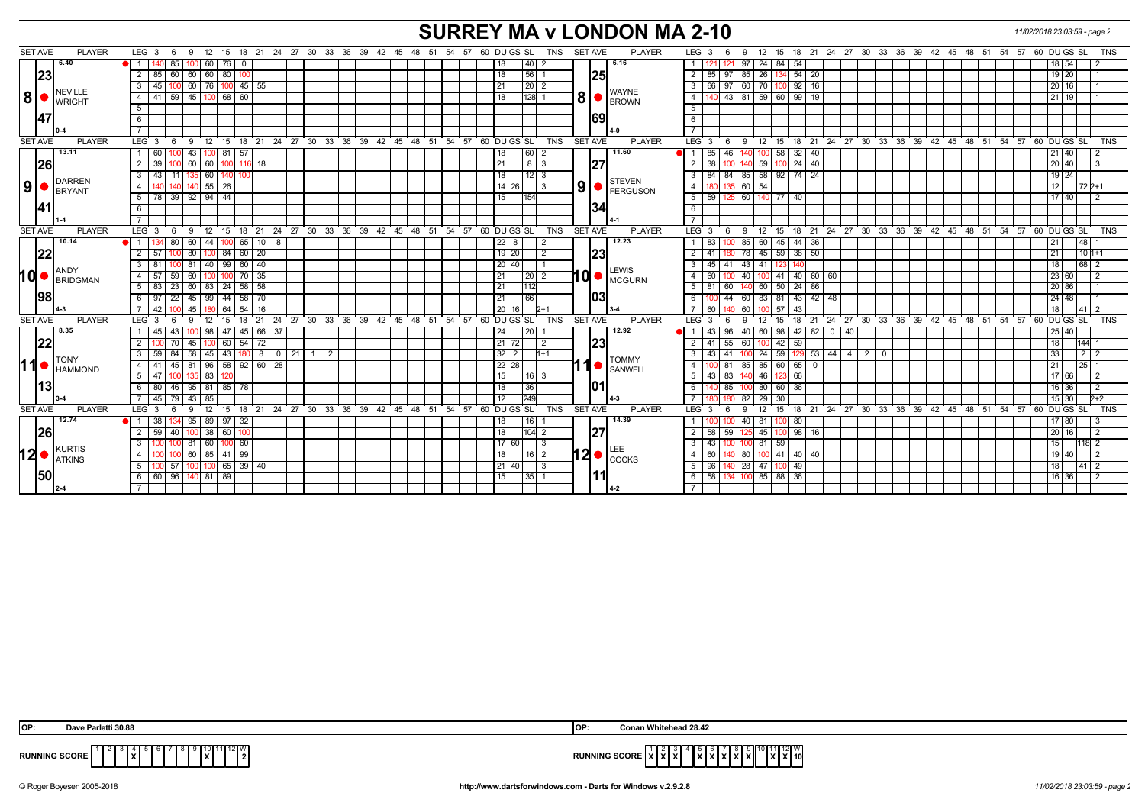## **SURREY MA v LONDON MA 2-10** *11/02/2018 23:03:59 - page 2*

| <b>SET AVE</b> | <b>PLAYER</b>              | LEG 3<br>9<br>- 6                                               |          | 12 15 18 21 24 27 30 33 36 39 42 45 48 51 54 |                                                              | <b>SET AVE</b><br>57 60 DU GS SL<br>TNS        | <b>PLAYER</b>                                  | 12 15 18 21 24 27 30 33 36 39 42 45 48 51 54 57<br>60 DU GS SL<br><b>TNS</b><br>LEG 3<br>9<br>-6                                |
|----------------|----------------------------|-----------------------------------------------------------------|----------|----------------------------------------------|--------------------------------------------------------------|------------------------------------------------|------------------------------------------------|---------------------------------------------------------------------------------------------------------------------------------|
|                | 6.40                       | 85<br>60   76  <br>$\overline{\mathbf{0}}$                      |          |                                              |                                                              | 40 <br>18                                      | 6.16                                           | 54<br>97<br>24 84<br>18 54                                                                                                      |
|                | 23                         | 60 60 60 80<br>2<br>-85 I                                       |          |                                              |                                                              | 18<br> 56                                      | <b>25</b>                                      | 85 26 134 54 20<br>2<br>85   97  <br>19 20                                                                                      |
|                |                            | 60   76  <br>$145$ 55<br>45<br>100                              |          |                                              |                                                              | 21<br>$\sqrt{20}$ 2                            |                                                | $92$ 16<br>$\mathbf{3}$<br>60 70<br>66   97<br>16<br>20 I                                                                       |
| 8              | NEVILLE<br><b>I</b> WRIGHT | 68<br>59<br>45<br>60<br>41<br>4                                 |          |                                              |                                                              | 8 <sub>l</sub><br>128                          | <b>WAYNE</b><br><b>BROWN</b>                   | $99$ 19<br>$\overline{4}$<br>81 59 60<br>$9 \mid 43 \mid$<br>21 19                                                              |
|                |                            | 5                                                               |          |                                              |                                                              |                                                |                                                | 5                                                                                                                               |
|                | <b>147</b>                 | 6                                                               |          |                                              |                                                              |                                                | 69                                             | 6                                                                                                                               |
|                |                            |                                                                 |          |                                              |                                                              |                                                |                                                | $\overline{7}$                                                                                                                  |
| <b>SET AVE</b> | <b>PLAYER</b>              | LEG 3<br>- 6                                                    |          |                                              | 9 12 15 18 21 24 27 30 33 36 39 42 45 48 51 54 57 60 DUGS SL | <b>SET AVE</b><br>TNS                          | <b>PLAYER</b>                                  | 9 12 15 18 21 24 27 30 33 36 39 42 45 48 51 54 57 60 DUGS SL<br>$LEG \ 3 \ 6$<br>TNS                                            |
|                | 13.11                      | 43<br>00181<br>-57<br>$\overline{1}$<br>60                      |          |                                              |                                                              | 60<br>18                                       | 11.60                                          | $32 \mid 40$<br>85<br>l 46<br>100 58<br>$-1$<br>!1 I 40                                                                         |
|                | 26                         | 39<br>60<br>60<br>l 18                                          |          |                                              |                                                              | 8<br>21<br>3                                   | 27                                             | 24<br>$\overline{2}$<br>38<br>40<br>59<br>20 40                                                                                 |
|                | DARREN                     | 43<br>$\overline{60}$<br>3<br>11                                |          |                                              |                                                              | $12$   3<br>18                                 |                                                | 85 58 92<br>$74 \mid 24$<br>$\mathbf{3}$<br>-84 l<br>l 84<br>$19 \overline{)24}$                                                |
| 9 •            | BRYANT                     | $140$ 55 $26$<br>4                                              |          |                                              |                                                              | 9 <sup>1</sup><br>14 26 <br>l 3                | STEVEN<br>FERGUSON                             | 60 54<br>$\overline{4}$<br>$722+1$<br>12 <sub>1</sub>                                                                           |
|                |                            | 39 92 94 44<br>5                                                |          |                                              |                                                              | 15 <sup>1</sup><br>154                         |                                                | 59   125   60   140   77   40<br>5 <sup>5</sup><br>17 40                                                                        |
|                | <u>141</u>                 | -6                                                              |          |                                              |                                                              |                                                | 34                                             | 6                                                                                                                               |
|                |                            |                                                                 |          |                                              |                                                              |                                                |                                                |                                                                                                                                 |
| <b>SET AVE</b> | <b>PLAYER</b>              | LEG <sub>3</sub><br>6                                           |          |                                              | 9 12 15 18 21 24 27 30 33 36 39 42 45 48 51 54 57 60 DUGS SL | SET AVE<br>TNS                                 | <b>PLAYER</b>                                  | $LEG_3$ 6<br>0 12 15 18 21 24 27 30 33 36 39 42 45 48 51 54 57 60 DUGSSL<br><b>TNS</b>                                          |
|                | 10.14                      | 80<br>60<br>44<br>65<br>- 10 I                                  | 8        |                                              |                                                              | 22<br>8                                        | 12.23                                          | 85<br>44<br>48<br>$\overline{1}$<br>83<br>60<br>-36<br>- 45                                                                     |
|                | 22                         | 80 100 84 60 20<br>$\overline{2}$<br>57<br>100                  |          |                                              |                                                              | $19$   20<br>2                                 | 23                                             | $45 \ 59 \ 38 \ 50$<br>78<br>$\overline{2}$<br>$101+1$<br>41   180<br>l 21 l                                                    |
|                | <b>ANDY</b>                | $40$   99   60   40<br>81<br>3                                  |          |                                              |                                                              | 20 40                                          | <b>LEWIS</b>                                   | 43 41 123<br>3<br>$45 \mid 41 \mid$<br>140<br>68 <sup>2</sup><br>18                                                             |
| hd•            | BRIDGMAN                   | -57<br>59<br>60<br>$\overline{4}$<br>70<br>35<br>100            |          |                                              |                                                              | 21                                             | $10$ $\bullet$ $\overline{\phantom{a}}$ MCGURN | $\overline{4}$<br>40<br>40   60   60<br>60<br>$100$ 41<br>23 60                                                                 |
|                |                            | 5 <sup>1</sup><br>23<br>60 83 24 58 58                          |          |                                              |                                                              | 21<br>1112                                     |                                                | $5-1$<br>60 50 24 86<br>81 60<br>140<br>20 86                                                                                   |
|                | 198                        | 22<br>45   99   44   58   70<br>-6                              |          |                                              |                                                              | 21<br>66                                       | 1031                                           | 6<br>60<br>83 81 43 42 48<br>24 48<br>100  44                                                                                   |
|                |                            | 42<br>45<br>64<br>54<br>16                                      |          |                                              |                                                              | 20                                             |                                                | 60<br>l 57<br>43<br>41<br>60                                                                                                    |
| <b>SET AVE</b> | <b>PLAYER</b>              | LEG <sub>3</sub><br>$^{\circ}$ 21<br>12<br>15<br>18<br><b>q</b> | 24<br>27 | 30 33 36 39 42                               | 45 48 51<br>54                                               | 57 60 DU GS SL<br><b>TNS</b><br><b>SET AVE</b> | <b>PLAYER</b>                                  | 21 24 27 30 33 36 39 42 45 48 51 54 57 60 DUGS SL<br>LEG <sup>®</sup><br>18<br><b>TNS</b><br>$12 \overline{ }$<br>-3<br>9<br>15 |
|                | 8.35                       | $45 \mid 66 \mid 37$<br>43<br>47<br>98<br>l 45.                 |          |                                              |                                                              | 20 <br>24                                      | 12.92                                          | 40<br>42<br>60 98<br>82   0   40<br>43<br>96<br>25 40                                                                           |
|                | 22                         | 60<br>$-54$<br>72<br>70<br>45                                   |          |                                              |                                                              | 21   72 <br>2                                  | <b>23</b>                                      | 59<br>60<br>144<br>$\overline{2}$<br>41<br>55<br>$100 \t 42$<br>18                                                              |
|                | <b>TONY</b>                | 43<br>84<br>3<br>58<br>45 I                                     | 80<br>21 | $\overline{2}$                               |                                                              | $32$   2<br>$h+1$                              | <b>TOMMY</b>                                   | $\overline{3}$<br>24 59<br>$53 \mid 44 \mid$<br>$4 \mid 2$<br>33<br>43<br>l 41<br>129  <br>l 0                                  |
| 11             | <b>HAMMOND</b>             | 96   58   92   60   28<br>$-45$<br>81<br>$\overline{4}$<br>l 41 |          |                                              |                                                              | 22 28                                          | <b>SANWELL</b>                                 | $\overline{4}$<br>85 60 65 0<br>85<br>25<br>1001 81                                                                             |
|                |                            | 83<br>5                                                         |          |                                              |                                                              | 15<br>$\vert 16 \vert 3$                       |                                                | 5<br>$43 \mid 83$<br>46<br>66<br>17 66                                                                                          |
|                | 13                         | 46<br>$95$   81   85  <br>-80<br>78<br>-6                       |          |                                              |                                                              | 18<br>36                                       |                                                | 6<br> 85 <br>36<br>16 36<br>80 60                                                                                               |
|                |                            | 79<br>$43 \mid 85$<br>45                                        |          |                                              |                                                              | 249<br>12                                      |                                                | 82<br>29<br>$\sqrt{30}$<br>$15 \overline{)30}$                                                                                  |
| <b>SET AVE</b> | <b>PLAYER</b>              | LEG <sub>3</sub><br>$^{\circ}$ 12<br>15<br>9<br>- 6             |          |                                              | 18 21 24 27 30 33 36 39 42 45 48 51 54 57 60 DUGS SL         | TNS<br>SET AVE                                 | <b>PLAYER</b>                                  | 18 21 24 27 30 33 36 39 42 45 48 51 54 57 60 DUGS SL<br>LEG <sup>'</sup><br>12<br>15<br><b>TNS</b><br>-3<br>- 6<br>9            |
|                | 12.74                      | 38<br>95 89 97 32                                               |          |                                              |                                                              | 18<br> 16                                      | 14.39                                          | 40 81 100 80<br>17 80                                                                                                           |
|                | <b>26</b>                  | 40<br>38 60<br>$\overline{2}$<br>59                             |          |                                              |                                                              | 18<br>$ 104 $ 2                                | 27                                             | 45 100 98 16<br>$\overline{2}$<br>58 59<br>20 16<br>125<br>- 2                                                                  |
|                | KURTIS                     | 60<br>$100$ 60<br>-3<br>-81                                     |          |                                              |                                                              | 17 60 <br>3                                    |                                                | $\overline{3}$<br>43   100<br>100 81 59<br>15 I                                                                                 |
|                | <b>12   KURIIS</b>         | 60 85 41 99<br>4                                                |          |                                              |                                                              | 18 <sup>1</sup><br> 16 2                       | $12 \bullet  _{\text{COCKS}}^{\text{LLE}}$     | 4<br>80<br>$40 \mid 40$<br>60 I<br>100 41<br>19   40                                                                            |
|                |                            | 57<br>65 39 40<br>5                                             |          |                                              |                                                              | 21   40  <br>3                                 |                                                | 28 47<br>$5 \mid$<br>49<br>- 96 I<br>18  <br><b>41</b>                                                                          |
|                | 50                         | 6 6 60 96 140 81 89                                             |          |                                              |                                                              | 15<br> 35                                      | 11                                             | 58   134   100   85   88   36  <br>6 I<br>16 36                                                                                 |
|                |                            |                                                                 |          |                                              |                                                              |                                                |                                                |                                                                                                                                 |

| OP:                  | rietti 30.00              | IOP:              | itehead 28.42                                                                                                      |
|----------------------|---------------------------|-------------------|--------------------------------------------------------------------------------------------------------------------|
| <b>RUNNING SCORE</b> | 12 I W<br>l v<br>.<br>. . | RUNNING SCORE   X | $^{\circ}$ 11 12 W<br>.<br>IXIXI10<br>.<br>$-1$ $\wedge$ $\wedge$ $\wedge$ $\wedge$ $\wedge$<br><u>IAIAIAIAIAI</u> |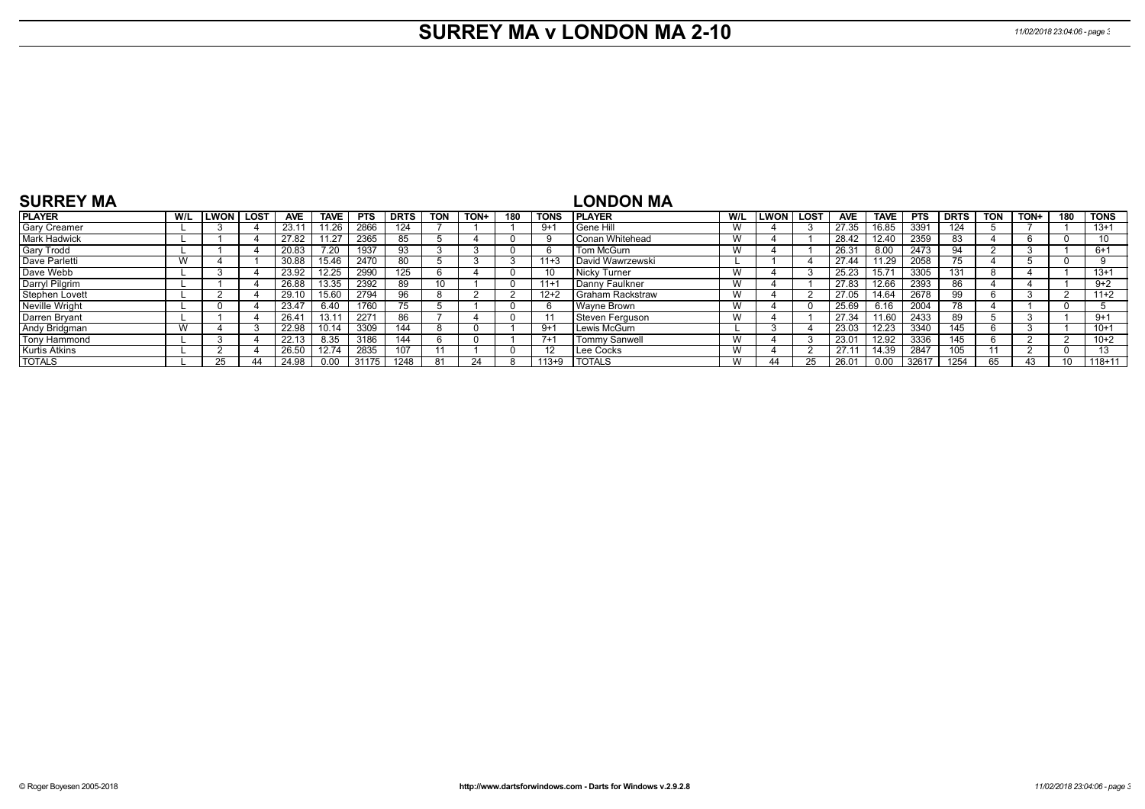# **SURREY MA v LONDON MA 2-10** *11/02/2018 23:04:06 - page 3*

| <b>SURREY MA</b>      |     |           |                |             |            |            |            |      |          |             | LONDON MA                 |     |             |             |            |             |            |             |            |      |     |             |
|-----------------------|-----|-----------|----------------|-------------|------------|------------|------------|------|----------|-------------|---------------------------|-----|-------------|-------------|------------|-------------|------------|-------------|------------|------|-----|-------------|
| <b>PLAYER</b>         | W/L | LWON LOST | <b>AVE</b>     | <b>TAVE</b> | <b>PTS</b> | DRTS       | <b>TON</b> | TON+ | 180      | <b>TONS</b> | I PLAYER                  | W/L | <b>LWON</b> | <b>LOST</b> | <b>AVE</b> | <b>TAVE</b> | <b>PTS</b> | <b>DRTS</b> | <b>TON</b> | TON+ | 180 | <b>TONS</b> |
| <b>Gary Creamer</b>   |     |           | 23.1'          | 11.26       | 2866       | 124        |            |      |          | $9+1$       | Gene Hill                 | W   |             |             | 27.35      | 16.85       | 3391       | 124         |            |      |     | $13+1$      |
| <b>Mark Hadwick</b>   |     |           | 27.82          | 11.27       | 2365       | 85         |            |      |          |             | l Conan Whitehead         | W   |             |             | 28.42      | 12.40       | 2359       | 83          |            |      |     |             |
| <b>Gary Trodd</b>     |     |           | 20.83          | 7.20        | 1937       | 93         |            |      |          |             | Tom McGurn                | W   |             |             | 26.31      | 8.00        | 2473       | 94          |            |      |     | $6+1$       |
| Dave Parletti         | W   |           | 30.88          | 15.46       | 2470       | 80         |            |      |          | $11+3$      | <b>I David Wawrzewski</b> |     |             |             | 27.44      | 11.29       | 2058       | 75          |            |      |     |             |
| Dave Webb             |     |           | 23.92          | 12.25       | 2990       | 125        |            |      | - 0      |             | Nicky Turner              | W   |             |             | 25.23      | 15.71       | 3305       | 131         |            |      |     | $13+1$      |
| Darryl Pilgrim        |     |           | 26.88          | 13.35       | 2392       | 89         |            |      | $\Omega$ | $11 + 7$    | l Dannv Faulkner          | W   |             |             | 27.83      | 12.66       | 2393       | 86          |            |      |     | $9+2$       |
| Stephen Lovett        |     |           | 29.10          | 15.60       | 2794       | 96         |            |      |          | $12+2$      | l Graham Rackstraw        | W   |             |             | 27.05      | 14.64       | 2678       | 99          |            |      |     | $11+2$      |
| <b>Neville Wright</b> |     |           | 23.47          | 6.40        | 1760       | $\sqrt{5}$ |            |      |          |             | Wavne Brown               | W   |             | $\Omega$    | 25.69      | 6.16        | 2004       |             |            |      |     |             |
| Darren Bryant         |     |           | $26.4^{\circ}$ |             | 2271       | 86         |            |      |          |             | l Steven Ferauson         | W   |             |             | 27.34      | 11.60       | 2433       | 89          |            |      |     | $9 + 1$     |
| Andy Bridgman         | W   |           | 22.98          | 10.14       | 3309       | 144        |            |      |          | $9+1$       | Lewis McGurn              |     |             |             | 23.03      | 12.23       | 3340       | 145         |            |      |     | $10+1$      |
| Tony Hammond          |     |           | 22.13          | 8.35        | 3186       | 144        |            |      |          | $7+1$       | <b>Tommy Sanwell</b>      | W   |             |             | 23.01      | 12.92       | 3336       | 145         |            |      |     | $10+2$      |
| <b>Kurtis Atkins</b>  |     |           | 26.50          | 12.74       | 2835       | 107        |            |      | $\Omega$ |             | Lee Cocks                 | W   |             |             | 27.11      | 14.39       | 2847       | 105         |            |      |     | $\sqrt{2}$  |
| <b>TOTALS</b>         |     |           | 24.98          | 0.00        | 31175      | 1248       |            |      |          | $113+9$     | <b>TOTALS</b>             | W   |             |             | 26.01      | 0.00        | 32617      | 1254        |            |      |     | $118+11$    |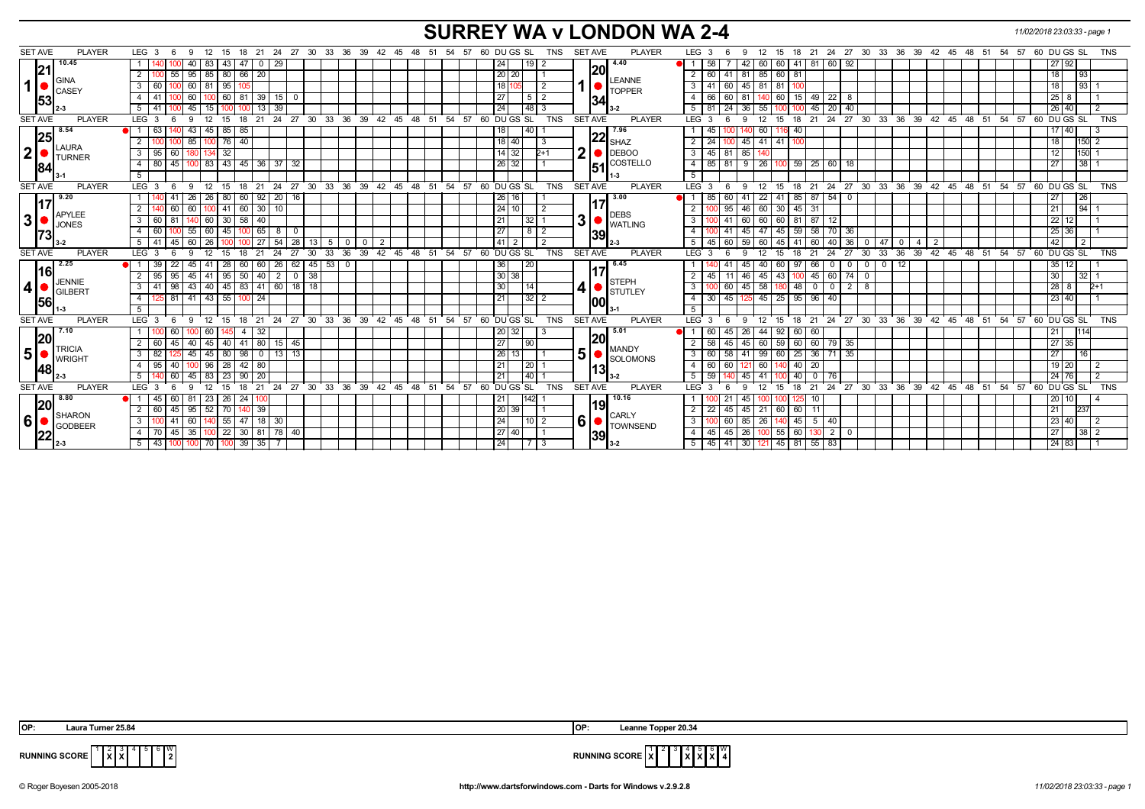# **SURREY WA v LONDON WA 2-4** *11/02/2018 23:03:33 - page 1*

| <b>PLAYER</b><br><b>SET AVE</b> | LEG <sub>3</sub><br>18<br>-6<br>-9<br>- 12<br>15        | 24 27 30 33 36 39<br>- 21                                        |                         | 42  45  48  51 | 57 60 DU GS SL<br>54<br>TNS                               | <b>SET AVE</b><br><b>PLAYER</b> | LEG <sub>3</sub><br>12<br>9                                  | 15<br>18                   |                                                        |                            | 21  24  27  30  33  36  39  42  45  48  51 | 57<br>54       | 60 DU GS SL<br><b>TNS</b>                                       |
|---------------------------------|---------------------------------------------------------|------------------------------------------------------------------|-------------------------|----------------|-----------------------------------------------------------|---------------------------------|--------------------------------------------------------------|----------------------------|--------------------------------------------------------|----------------------------|--------------------------------------------|----------------|-----------------------------------------------------------------|
| 10.45                           | 43<br>83<br>-47                                         | 29<br>$\overline{0}$                                             |                         |                | 24<br>191.                                                | 4.40                            | 42<br>58                                                     | 60 60<br>41                | 92<br>81 60                                            |                            |                                            |                | 27 92                                                           |
| 21                              | 80 66 20<br>$\overline{2}$<br>55<br>$95 \mid 85$        |                                                                  |                         |                | 20 20                                                     | 20                              | 2<br>41<br>81                                                | 85 60<br>81                |                                                        |                            |                                            |                | $\overline{193}$<br>18                                          |
| GINA<br>1 <sup>1</sup><br>CASEY | 95<br>$3 \mid 60$<br>$60$ 81                            |                                                                  |                         |                | 18<br>$\overline{2}$                                      | <b>LEANNE</b><br><b>TOPPER</b>  | $\overline{\mathbf{3}}$<br>45<br>41<br>$\overline{60}$<br>81 | $\sqrt{81}$                |                                                        |                            |                                            |                | $\overline{93}$<br>18                                           |
| 53                              | 60<br>81<br>4   41<br>60                                | $\sqrt{39}$<br>15 <sup>1</sup>                                   |                         |                | 27<br>5 <sup>1</sup><br>l 2                               | 34                              | 81<br>$\overline{4}$<br>66<br>60                             | 15<br>60                   | $49 \mid 22$<br>8                                      |                            |                                            |                | $25 \mid 8$                                                     |
|                                 | $5 \mid 41$<br>l 15<br>45                               | 39<br>13                                                         |                         |                | 48 3<br>24                                                |                                 | 36<br>5<br>81                                                | 55<br>45                   | 40<br>$\vert$ 20                                       |                            |                                            |                | 26 40                                                           |
| <b>SET AVE</b><br><b>PLAYER</b> | LEG <sup>3</sup><br>9<br>12<br>15<br>18                 | 24 27 30 33 36 39 42 45 48 51 54 57<br>$^{\circ}$ 21             |                         |                | 60 DU GS SL<br><b>TNS</b>                                 | <b>SET AVE</b><br><b>PLAYER</b> | LEG <sup>3</sup><br>12<br>9                                  | 18<br>$^{\circ}$ 15        |                                                        |                            | 21 24 27 30 33 36 39 42 45 48 51 54 57     |                | 60 DU GS SL<br><b>TNS</b>                                       |
| 8.54                            | 85<br>85<br>l 63<br>43<br>  45                          |                                                                  |                         |                | 40<br>18                                                  | 7.96                            | 45                                                           | 60<br>40                   |                                                        |                            |                                            |                | $17 \ 40$                                                       |
| 25<br><b>LAURA</b>              | 76<br>40<br>2<br>85 100                                 |                                                                  |                         |                | $18$ 40                                                   | $22 \int_{SHAZ}$                | 2<br>24                                                      | 45 41 41<br>100            |                                                        |                            |                                            |                | 150<br>18 l                                                     |
| $\mathbf{2}$<br><b>TURNER</b>   | 32<br>$3 \mid 95$<br>60                                 |                                                                  |                         |                | $14 \mid 32$<br>$2+1$                                     | $\mathbf{2}$<br><b>DEBOO</b>    | 85<br>$\mathbf{3}$<br>$45 \mid 81$                           |                            |                                                        |                            |                                            |                | 150<br>12                                                       |
| 84                              | 43   45   36   37<br>45<br>4 80<br>$100$ 83             | 32                                                               |                         |                | $26 \mid 32$                                              | $51$ <sup>COSTELLO</sup>        | $-4$<br>$85$ 81<br>9                                         | 26 100 59 25 60            | 18                                                     |                            |                                            |                | $ 38 $ 1<br>27                                                  |
|                                 | 5 <sup>5</sup>                                          |                                                                  |                         |                |                                                           |                                 | 5 <sup>5</sup>                                               |                            |                                                        |                            |                                            |                |                                                                 |
| <b>SET AVE</b><br><b>PLAYER</b> | LEG <sub>3</sub><br>12<br>9<br>15<br>18<br>-6           | 24<br>21                                                         |                         |                | 27 30 33 36 39 42 45 48 51 54 57 60 DUGS SL<br><b>TNS</b> | <b>SET AVE</b><br><b>PLAYER</b> | LEG <sub>3</sub><br>12<br>9                                  | 15<br>18                   |                                                        |                            |                                            |                | 21 24 27 30 33 36 39 42 45 48 51 54 57 60 DUGS SL<br><b>TNS</b> |
| 9.20<br>117                     | 80<br>26<br>$\mid$ 26<br>  60   92  <br>41              | 20 16                                                            |                         |                | 26 16                                                     | 3.00                            | 85<br>60<br>41                                               | 85   87   54<br>22 41      | $\mathbf{0}$                                           |                            |                                            |                | 26<br>27                                                        |
| <b>APYLEE</b>                   | 41<br>60<br> 60 30 <br>2 <sup>1</sup><br>60   100       | 10                                                               |                         |                | 24 10<br>$\overline{2}$                                   | <b>DEBS</b>                     | 46<br>2<br>95                                                | 45<br>60 30<br>-31         |                                                        |                            |                                            |                | 21                                                              |
| 3 <br><b>JONES</b>              | 30<br>$58 \mid 40$<br>3 6 6 6 1<br>81<br>140  60        |                                                                  |                         |                | 21<br> 32                                                 | 3<br><b>WATLING</b>             | 3<br>60<br>41                                                | 60 60<br>81                | 87   12                                                |                            |                                            |                | 22<br>12 <sub>l</sub>                                           |
| 173                             | 45<br>55   60<br>4 60                                   | $0 \overline{65}$<br>8                                           |                         |                | 27<br>$8$   2                                             | 39                              | 45<br>$\overline{4}$<br>$\sqrt{41}$                          | 59<br>47 45                | $58$ 70<br>36                                          |                            |                                            |                | 25 36                                                           |
|                                 | 45<br>$\overline{26}$<br>$5 \mid 41$<br>60              | 54<br>28<br>5<br>-27<br>13                                       | $\overline{2}$          |                | 41<br>$\overline{2}$                                      |                                 | 59<br>5<br>$45 \mid 60$<br>60                                | 45<br>41<br>60             | 36<br>40                                               | l 47<br>$\mathbf{0}$<br>-4 | $\overline{2}$                             |                | 42<br>$\overline{2}$                                            |
| <b>PLAYER</b><br><b>SET AVE</b> | $LEG$ 3<br>-9<br>12<br>15<br>18<br>-6                   | 21<br>24<br>27<br>30<br>33                                       | 36<br>ີ 39              |                | <b>TNS</b><br>42 45 48 51 54 57 60 DUGS SL                | <b>SET AVE</b><br><b>PLAYER</b> | $LEG^3$ 3<br>12<br>9                                         | 21<br>15<br>18             | 27<br>24<br>30                                         | 36<br>33                   | 39 42 45 48 51 54 57                       |                | 60 DU GS SL<br><b>TNS</b>                                       |
| 2.25<br> 16                     | 22<br>28<br>l 39<br>45   41<br>60 l                     | 53<br>26<br>$62 \mid 45 \mid$<br>  60                            | $\overline{\mathbf{0}}$ |                | 20 <br>36                                                 | 6.45                            | 45                                                           | 97<br>66<br>40 I<br>60     | $\mathbf 0$<br>$\overline{\mathbf{0}}$<br>$\mathbf{0}$ | 12<br>$^{\circ}$           |                                            |                | $35$ 12                                                         |
| <b>JENNIE</b>                   | 95<br>95<br>$50 \mid 40$<br>$2 \mid 95$<br>$45 \mid 41$ | $\overline{2}$<br> 38 <br>$\mathbf{0}$                           |                         |                | 30 38                                                     | <b>STEPH</b>                    | 46<br>2<br>45                                                | $45 \overline{43}$<br>100  | $74$ 0<br>$45 \ 60$                                    |                            |                                            |                | $32 \mid 1$<br>30                                               |
| $\vert$ 4<br><b>GILBERT</b>     | 98<br>43 40<br>$3 \mid 41$                              | 45 83 41 60 18 18                                                |                         |                | 30<br>14                                                  | 4 <br>J.<br><b>STUTLEY</b>      | 45<br>$\overline{\mathbf{3}}$<br>60                          | 48<br>58 180               | $2 \mid 8$<br>$0$ 0                                    |                            |                                            |                | $28 \quad 8$<br>$2+1$                                           |
| 56                              | 55   100   24<br>81<br>$41 \mid 43$<br>4                |                                                                  |                         |                | $32$ 2<br>21                                              | 00                              | $30 \mid 45$<br>$\overline{4}$<br>125                        | 45 25<br>95                | 96 40                                                  |                            |                                            |                | 23 40                                                           |
|                                 | 5                                                       |                                                                  |                         |                |                                                           |                                 | 5                                                            |                            |                                                        |                            |                                            |                |                                                                 |
| <b>SET AVE</b><br><b>PLAYER</b> | LEG <sub>3</sub><br>12<br>9<br>15<br>- 6<br>18          | 27 30<br>21<br>24                                                | 33 36 39                | 42 45 48 51    | 54 57 60 DU GS SL<br><b>TNS</b>                           | <b>SET AVE</b><br><b>PLAYER</b> | LEG <sub>3</sub><br>12<br>-9                                 | 15<br>18                   | 21 24 27 30 33                                         |                            | 36 39 42 45 48 51 54                       |                | 57 60 DU GS SL<br>TNS                                           |
| 7.10<br> 20                     | 60<br>-4                                                | -32                                                              |                         |                | 20 <br>32                                                 | 5.01<br> 20                     | 26<br>44                                                     | 92<br>60<br>-60            |                                                        |                            |                                            |                | 1114                                                            |
| <b>TRICIA</b>                   | 40<br>$41 \mid 80$<br>45<br>40   45<br>2 60             | $15 \mid 45$                                                     |                         |                | 27 <br>90                                                 | <b>MANDY</b>                    | 58<br>45<br>2<br>45                                          | 60<br>60 59                | 60 79<br>35                                            |                            |                                            |                | 27 35                                                           |
| 5 <sup>1</sup><br><b>WRIGHT</b> | 80<br>98<br>$3 \mid 82$<br>$45 \mid 45$                 | $13$ 13<br>$\overline{\phantom{0}}$                              |                         |                | 26<br>13                                                  | 5<br>SOLOMONS                   | $\overline{\mathbf{3}}$<br>41<br>60<br>58                    | $\overline{25}$<br>$99$ 60 | 35<br>$36$   71                                        |                            |                                            |                | $ 16\rangle$<br>27 <sup>1</sup>                                 |
| 48                              | 28<br>$42$ 80<br>40<br>$100$ 96<br>4 9 9 5              |                                                                  |                         |                | 20 <br>21                                                 | <u> 13</u>                      | $\overline{4}$<br>60<br>60<br>l 60<br>121                    | 40<br>20                   |                                                        |                            |                                            |                | $19$ $\overline{20}$                                            |
|                                 | $\overline{23}$<br>5<br>60<br>$45 \mid 83$<br>$90$   20 |                                                                  |                         |                | 40 <br>21                                                 |                                 | 5<br>59<br>45 <sub>1</sub><br>41                             | 40<br>$\overline{0}$       | l 76                                                   |                            |                                            |                | 24 76                                                           |
| <b>SET AVE</b><br><b>PLAYER</b> | LEG <sub>3</sub><br>15<br>18<br>-9                      | 27<br>$30^{\circ}$<br>33<br>21<br>24                             | 36<br>39<br>42<br>45    | 48<br>51       | 60 DU GS SL<br><b>TNS</b><br>54<br>57                     | <b>SET AVE</b><br><b>PLAYER</b> | LEG <sup>3</sup><br>12                                       | 21<br>18<br>- 15           | $24 \overline{27}$<br>$\cdot$ 30                       | 36<br>33                   | 39 42<br>48<br>45                          | 51<br>54<br>57 | 60 DU GS SL<br><b>TNS</b>                                       |
| l 8.80<br> 20                   | 26<br>24<br>60<br>-81<br>23                             |                                                                  |                         |                | 21<br>1421                                                | 10.16<br><b>19</b>              | 45                                                           |                            |                                                        |                            |                                            |                | 10 I                                                            |
| <b>SHARON</b>                   | 70<br>45<br>$95 \mid 52$<br>$140$ 39<br>2 60            |                                                                  |                         |                | $\sqrt{20}$ 39                                            | <b>CARLY</b>                    | 2<br>45<br>22<br>45                                          | 60<br>21 60<br>11          |                                                        |                            |                                            |                | 21<br>237                                                       |
| 6 <sup>1</sup><br>GODBEER       | 55<br>3 <sup>1</sup><br>41<br>60<br>47<br>l 140 l       | 18 <br>30                                                        |                         |                | 24<br>$10$   2                                            | $6 \mid$<br>TOWNSEND            | $\overline{\mathbf{3}}$<br>85<br>26<br>60                    | 45                         | $5 \mid 40$                                            |                            |                                            |                | 23 40                                                           |
| 22                              | 35 100<br>4 70<br>45                                    | $\boxed{22}$ $\boxed{30}$ $\boxed{81}$ $\boxed{78}$ $\boxed{40}$ |                         |                | 27 40                                                     | 39                              | 26<br>$\overline{4}$<br>45<br>45                             | 60<br>100 55               | $130$ 2<br>$\mathbf 0$                                 |                            |                                            |                | 27<br>$382$                                                     |
|                                 | $100$   39   35  <br>5 43<br>$100$ 70<br>100            |                                                                  |                         |                | 24 <br>7 3                                                |                                 | $45$   41   30  <br>5                                        | $121$ 45 81 55 83          |                                                        |                            |                                            |                | 24 83                                                           |

| IOP: | 25.84<br>_aura<br>Turner 1 | IOP: | 20.34<br>eanne.<br><b>Conner</b> |
|------|----------------------------|------|----------------------------------|



 $\frac{N}{2}$  **RUNNING SCORE**  $\frac{1}{X}$  3 4 **X X** 6 **X** W **4**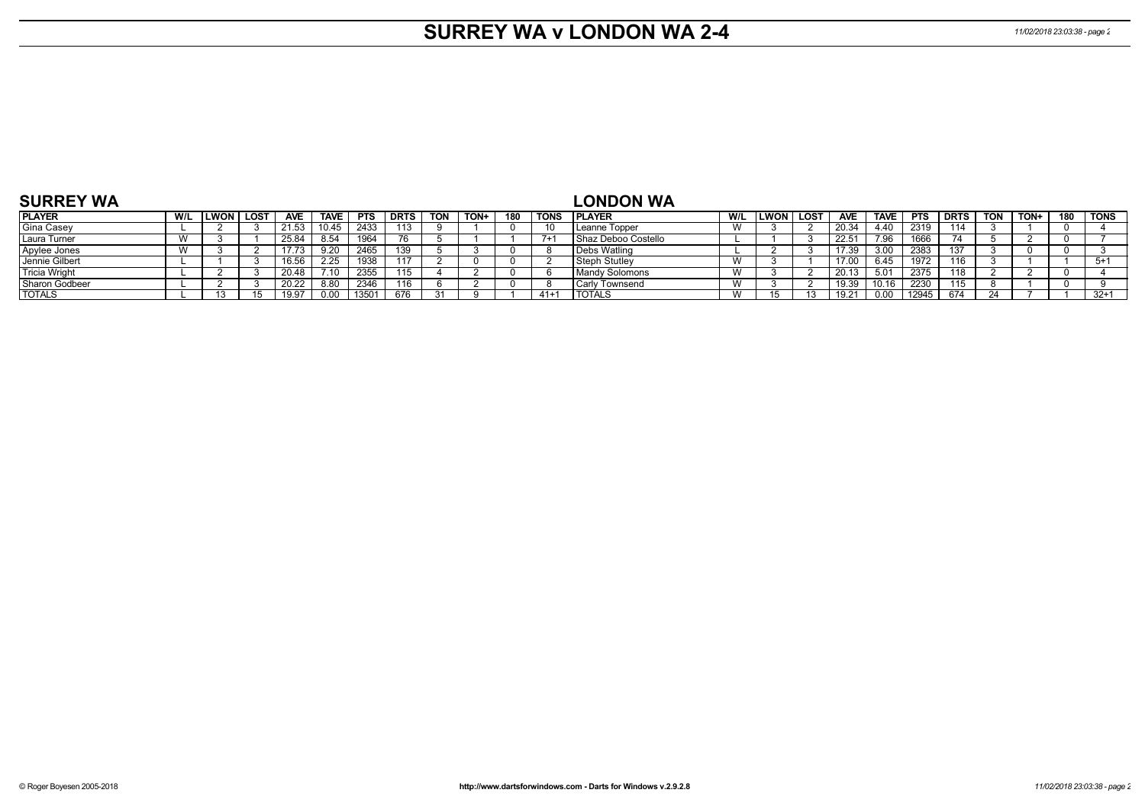# **SURREY WA v LONDON WA 2-4** *11/02/2018 23:03:38 - page 2*

| <b>SURREY WA</b>     |     |       |        |            |             |            |             |            |      |     |             | <b>LONDON WA</b>      |                |        |             |                |             |            |             |            |      |     |             |
|----------------------|-----|-------|--------|------------|-------------|------------|-------------|------------|------|-----|-------------|-----------------------|----------------|--------|-------------|----------------|-------------|------------|-------------|------------|------|-----|-------------|
| <b>PLAYER</b>        | W/L | LWON, | , LOST | <b>AVE</b> | <b>TAVE</b> | <b>PTS</b> | <b>DRTS</b> | <b>TON</b> | TON+ | 180 | <b>TONS</b> | <b>IPLAYER</b>        | W/L            | LWON l | <b>LOST</b> | <b>AVE</b>     | <b>TAVE</b> | <b>PTS</b> | <b>DRTS</b> | <b>TON</b> | TON+ | 180 | <b>TONS</b> |
| <b>Gina Casey</b>    |     |       |        | 21.53      | 10.45       | 2433       | 113         |            |      |     | 10          | Leanne Topper         |                |        |             | 20.34          | 4.40        | 2319       | 114         |            |      |     |             |
| Laura Turner         |     |       |        | 25.84      | 8.54        | 1964       |             |            |      |     | $7+$        | Shaz Deboo Costello   |                |        |             | $22.5^{\circ}$ | 7.96        | 1666       |             |            |      |     |             |
| Apylee Jones         |     |       |        | 17.73      |             | 2465       |             |            |      |     |             | Debs Watling          |                |        |             | 17.39          | 3.00        | 2383       | 137         |            |      |     |             |
| Jennie Gilbert       |     |       |        | 16.56      | 2.25        | 1938       |             |            |      |     |             | Steph Stutlev         |                |        |             |                | 6.45        | 1972       | 116         |            |      |     | $5+$        |
| <b>Tricia Wright</b> |     |       |        | 20.48      |             | 2355       | .           |            |      |     |             | <b>Mandy Solomons</b> |                |        |             | 20.13          | 5.01        | 2375       | 118         |            |      |     |             |
| Sharon Godbeer       |     |       |        | 20.22      | 8.80        | 2346       |             |            |      |     |             | <b>Carly Townsend</b> |                |        |             | 19.39          | 10.16       | 2230       |             |            |      |     |             |
| <b>TOTALS</b>        |     |       |        | 19.97      |             | 13501      | 676         |            |      |     | $41 +$      | <b>TOTALS</b>         | $\overline{M}$ |        |             |                | 0.00        | 12945      | 674         |            |      |     | $32+1$      |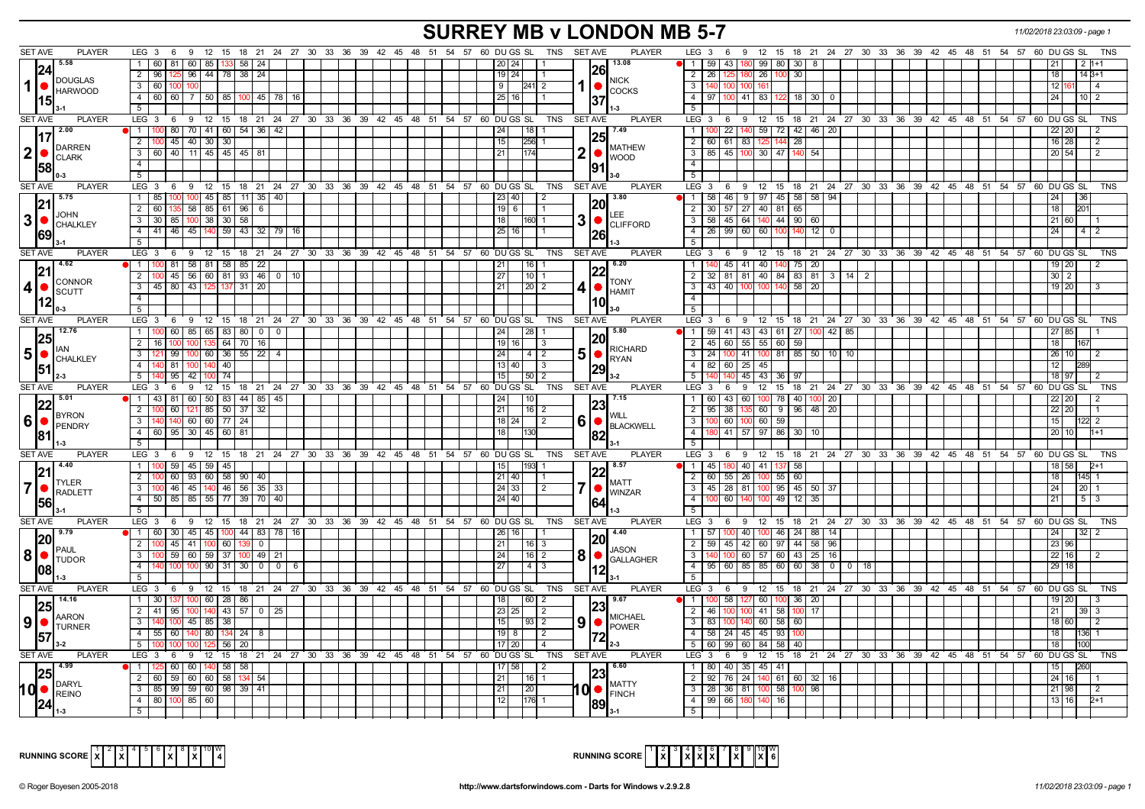# **SURREY MB v LONDON MB 5-7** *11/02/2018 23:03:09 - page 1*

| <b>SET AVE</b><br><b>PLAYER</b>                                                                       | LEG $3 \quad 6$                                                                       |              |  |  | 9 12 15 18 21 24 27 30 33 36 39 42 45 48 51 54 57 60 DUGS SL TNS SETAVE                          |                 | <b>PLAYER</b>                | LEG 3                                                                                  | - 6            | 9 12 15 18 21 24 27 30 33 36 39 42 45 48 51 54 57 60 DUGS SL   |                  |              |  |  |  |                |                | TNS            |
|-------------------------------------------------------------------------------------------------------|---------------------------------------------------------------------------------------|--------------|--|--|--------------------------------------------------------------------------------------------------|-----------------|------------------------------|----------------------------------------------------------------------------------------|----------------|----------------------------------------------------------------|------------------|--------------|--|--|--|----------------|----------------|----------------|
| 5.58<br> 24                                                                                           | 1 60 81 60 85 133 58                                                                  | $\sqrt{24}$  |  |  | 20   24                                                                                          | 26              | 13.08                        | 1 59 43 180                                                                            |                | 99 80 30 8                                                     |                  |              |  |  |  |                |                |                |
| <b>DOUGLAS</b>                                                                                        | 125 96 44 78 38 24<br>2 96                                                            |              |  |  | 19   24  <br><b>11</b>                                                                           |                 | <b>NICK</b>                  | 2   26                                                                                 | 125 180 26 100 |                                                                | 30 I             |              |  |  |  | 18             |                | $14B+1$        |
| $\vert$ 1<br><b>HARWOOD</b>                                                                           | 3 60 100 100                                                                          |              |  |  | 9 <sup>1</sup><br>$ 241 $ 2                                                                      | 1   ●           | <b>COCKS</b>                 | 3   140   100   100   161                                                              |                |                                                                |                  |              |  |  |  | 12             |                | l 4            |
| 15                                                                                                    | 4 60 60 7 50 85 100 45 78 16<br>5                                                     |              |  |  | 25   16  <br>$\overline{1}$ 1                                                                    |                 |                              | 4   97   100   41   83   122<br>5                                                      |                |                                                                | $18$ 30 $\mid$ 0 |              |  |  |  | 24             |                | $10 \mid 2$    |
| <b>SET AVE</b><br><b>PLAYER</b>                                                                       | $LEG_36$                                                                              |              |  |  | 0 12 15 18 21 24 27 30 33 36 39 42 45 48 51 54 57 60 DUGS SL<br>TNS                              | SET AVE         | <b>PLAYER</b>                | LEG 3                                                                                  |                | 6 9 12 15 18 21 24 27 30 33 36 39 42 45 48 51 54 57 60 DUGS SL |                  |              |  |  |  |                |                | <b>TNS</b>     |
| $\frac{1}{2.00}$                                                                                      | 1   100   80   70   41   60   54   36   42                                            |              |  |  | 24 <br>$118$ 1                                                                                   |                 | 7.49                         | $\overline{1}$                                                                         |                | 100 22 140 59 72 42 46 20                                      |                  |              |  |  |  | 22 20          |                |                |
| 117                                                                                                   | 2   100   45   40   30   30                                                           |              |  |  | 15<br>256 1                                                                                      |                 |                              | 2 60 61 83 125 144                                                                     |                |                                                                | 28               |              |  |  |  | $16$ 28        |                | -2             |
| DARREN<br>$ 2  \bullet  _{\text{CLARK}}^{\text{LARTE}}$                                               | 3   60   40   11   45   45   45   81                                                  |              |  |  | 21                                                                                               | 2  <sub>•</sub> | <b>MATHEW</b>                | $3$ 85 45 100 30 47                                                                    |                |                                                                | 140 54           |              |  |  |  | 20 54          |                | $\overline{2}$ |
| 58                                                                                                    | 4                                                                                     |              |  |  |                                                                                                  |                 | <b>WOOD</b>                  | $\overline{4}$                                                                         |                |                                                                |                  |              |  |  |  |                |                |                |
|                                                                                                       | 5                                                                                     |              |  |  |                                                                                                  |                 |                              | 5 <sup>1</sup>                                                                         |                |                                                                |                  |              |  |  |  |                |                |                |
| SET AVE<br><b>PLAYER</b>                                                                              | LEG 3 6 9 12 15 18 21 24 27 30 33 36 39 42 45 48 51 54 57 60 DUGS SL TNS SETAVE       |              |  |  |                                                                                                  |                 | <b>PLAYER</b>                | LEG 3 6 9 12 15 18 21 24 27 30 33 36 39 42 45 48 51 54 57 60 DUGS SL                   |                |                                                                |                  |              |  |  |  |                |                | <b>TNS</b>     |
| 15.75<br> 21                                                                                          | 1 85 100 100 45 85 11 35 40                                                           |              |  |  | 23 40 <br>$\sqrt{2}$                                                                             | 20              | 3.80                         | 1   58   46   9   97   45   58   58   94                                               |                |                                                                |                  |              |  |  |  |                |                |                |
| <b>JOHN</b>                                                                                           | 2 60 135<br>58 85 61 96                                                               | 6            |  |  | $19$ 6<br>l 1                                                                                    |                 | LEE.                         | 2 30 57 27 40 81 65<br>3   58   45   64   140   44   90   60                           |                |                                                                |                  |              |  |  |  | 18             | 201            |                |
|                                                                                                       | 3 30 85 100 38 30 58<br>4 41 46 45 140 59 43 32 79 16                                 |              |  |  | 18<br>1160 1                                                                                     | 3 •             | <b>CLIFFORD</b>              | 4 26 99 60 60 100                                                                      |                |                                                                | $140$ 12         |              |  |  |  | 21 60<br>24    |                | 4 2            |
|                                                                                                       | 5                                                                                     |              |  |  |                                                                                                  | 26              |                              | 5                                                                                      |                |                                                                |                  |              |  |  |  |                |                |                |
| SET AVE<br><b>PLAYER</b>                                                                              | LEG 3 6 9 12 15 18 21 24 27 30 33 36 39 42 45 48 51 54 57 60 DUGS SL TNS              |              |  |  |                                                                                                  | SET AVE         | <b>PLAYER</b>                | LEG 3 6 9 12 15 18 21 24 27 30 33 36 39 42 45 48 51 54 57 60 DUGS SL                   |                |                                                                |                  |              |  |  |  |                |                | TNS            |
| 14.62                                                                                                 | 1   100   81   58   81   58   85   22                                                 |              |  |  | 21 <br> 16 1                                                                                     |                 | 6.20                         | 1                                                                                      |                | 140 45 41 40 140 75 20                                         |                  |              |  |  |  | 19 20          |                |                |
|                                                                                                       | $2$ 100 45 56 60 81 93 46 0 10                                                        |              |  |  | 27 <br>$110$ 1                                                                                   | 22              | <b>TONY</b>                  | 2 32 81 81 40 84 83 81 3 14 2                                                          |                |                                                                |                  |              |  |  |  | $30 \quad 2$   |                |                |
| <b>CONNOR</b><br>$ 4  \bullet  _{\text{SCUTT}}$                                                       | $3   45   80   43   125   137   31   20$                                              |              |  |  | 21 <br> 20 2                                                                                     | $4  \bullet$    | <b>HAMIT</b>                 | 3   43   40   100   100   140                                                          |                |                                                                | 58 20            |              |  |  |  | 19 20          |                |                |
| 12                                                                                                    | $\overline{4}$                                                                        |              |  |  |                                                                                                  |                 |                              | $-4$                                                                                   |                |                                                                |                  |              |  |  |  |                |                |                |
|                                                                                                       | 5 <sub>1</sub>                                                                        |              |  |  |                                                                                                  |                 |                              | 5 <sup>1</sup>                                                                         |                |                                                                |                  |              |  |  |  |                |                |                |
| SET AVE<br><b>PLAYER</b><br>12.76                                                                     | $LEG_36$<br>1   100   60   85   65   83   80   0   0                                  |              |  |  | 9 12 15 18 21 24 27 30 33 36 39 42 45 48 51 54 57 60 DUGS SL<br>TNS<br>$\vert 28 \vert 1$<br> 24 | SET AVE         | <b>PLAYER</b><br>5.80        | $LEG_3$<br>1   59   41   43   43   61   27   100   42   85                             |                | 6 9 12 15 18 21 24 27 30 33 36 39 42 45 48 51 54 57 60 DUGS SL |                  |              |  |  |  | 27 85          |                | <b>TNS</b>     |
| 25                                                                                                    | $2 \mid 16 \mid$<br>100 135 64 70                                                     | 16           |  |  | $19$   16  <br>$\vert 3 \vert$                                                                   | <b>20</b>       |                              | 2   45   60   55   55   60   59                                                        |                |                                                                |                  |              |  |  |  | 18             |                |                |
| IAN<br>$\vert 5 \vert \bullet \vert_\text{CHALKLEY}^\text{\tiny HAN}$                                 | 99 100 60 36 55 22 4<br>3                                                             |              |  |  | 24<br> 4 2                                                                                       | 5 •             | <b>RICHARD</b>               | 3   24   100   41   100   81   85   50   10   10                                       |                |                                                                |                  |              |  |  |  | 26   10        |                |                |
|                                                                                                       | 9 81<br>100 140 40                                                                    |              |  |  | 13   40  <br>$\vert$ 3                                                                           |                 | <b>RYAN</b>                  | 4 82 60 25 45                                                                          |                |                                                                |                  |              |  |  |  |                |                |                |
|                                                                                                       | $5 \mid 14$<br>0 95 42 100 74                                                         |              |  |  | 15<br> 50 2                                                                                      | 29              |                              | 5   140   140   45   43   36   97                                                      |                |                                                                |                  |              |  |  |  | 18 97          |                |                |
| <b>SET AVE</b><br><b>PLAYER</b>                                                                       | LEG <sub>3</sub><br>6                                                                 |              |  |  | 9 12 15 18 21 24 27 30 33 36 39 42 45 48 51 54 57 60 DUGS SL TNS                                 | <b>SET AVE</b>  | <b>PLAYER</b>                | LEG 3                                                                                  |                | 6 9 12 15 18 21 24 27 30 33 36 39 42 45 48 51 54 57 60 DUGS SL |                  |              |  |  |  |                |                | TNS            |
| 15.01                                                                                                 |                                                                                       |              |  |  |                                                                                                  |                 | 7.15                         | 1 60 43 60 100 78 40 100 20                                                            |                |                                                                |                  |              |  |  |  | 22 20          |                |                |
|                                                                                                       | 1 43 81 60 50 83 44 85 45                                                             |              |  |  | 10 <br>-24                                                                                       |                 |                              |                                                                                        |                |                                                                |                  |              |  |  |  |                |                |                |
| 22 <br>BYRON                                                                                          | 2 100 60 121 85 50 37 32                                                              |              |  |  | 21 <br> 16 2                                                                                     | 23              | WILL                         | 2   95   38   135   60   9   96   48   20                                              |                |                                                                |                  |              |  |  |  | 22 20          |                |                |
|                                                                                                       | 140 140 60 60 77 24<br>$\mathbf{3}$                                                   |              |  |  | 18   24     2                                                                                    | $6  \bullet  $  | <b>BLACKWELL</b>             | 3   100                                                                                | 60 100 60 59   |                                                                |                  |              |  |  |  | 15             |                | 122 2          |
| <b>1811</b>                                                                                           | 4 60 95 30 45 60 81                                                                   |              |  |  | 18<br>11301                                                                                      | 82              |                              | 4                                                                                      | 41 57 97 86    |                                                                | $30$   10        |              |  |  |  | 20 10          |                |                |
| SET AVE<br><b>PLAYER</b>                                                                              | LEG 3 6 9 12 15 18 21 24 27 30 33 36 39 42 45 48 51 54 57 60 DUGS SL                  |              |  |  | TNS                                                                                              | <b>SET AVE</b>  | <b>PLAYER</b>                | 5 <sup>1</sup><br>LEG 3 6 9 12 15 18 21 24 27 30 33 36 39 42 45 48 51 54 57 60 DUGS SL |                |                                                                |                  |              |  |  |  |                |                | TNS            |
| $\blacksquare$ 4.40                                                                                   | 1   100   59   45   59   45                                                           |              |  |  | $1193$ 1<br> 15                                                                                  |                 | 18.57                        | 1   45   180   40   41   137   58                                                      |                |                                                                |                  |              |  |  |  |                |                |                |
| 21                                                                                                    | 2   100   60   93   60   58   90   40                                                 |              |  |  | 21   40                                                                                          |                 |                              | 2 60 55 26 100 55 60                                                                   |                |                                                                |                  |              |  |  |  | 18             |                |                |
| <b>I</b> TYLER<br>$\mathbf{7}$                                                                        | 3 100 46 45 140 46 56 35 33                                                           |              |  |  | $\sqrt{24}$ 33<br>$\sqrt{2}$                                                                     |                 | <b>MATT</b><br><b>WINZAR</b> | 3   45   28   81   100   95   45   50   37                                             |                |                                                                |                  |              |  |  |  | 24             | 20             |                |
| $\bigcap_{\mathsf{RADLETT}}$                                                                          | 4 50 85 85 55 77 39 70 40                                                             |              |  |  | $24$ 40                                                                                          |                 |                              | $-4$                                                                                   |                | 60   140   100   49   12   35                                  |                  |              |  |  |  | 21             | 5 <sub>1</sub> | -3             |
| 56                                                                                                    | 5                                                                                     |              |  |  |                                                                                                  |                 |                              | 5 <sup>7</sup>                                                                         |                |                                                                |                  |              |  |  |  |                |                |                |
| <b>SET AVE</b><br><b>PLAYER</b>                                                                       | LEG 3 6 9 12 15 18 21 24 27 30 33 36 39 42 45 48 51 54 57 60 DUGS SL                  |              |  |  |                                                                                                  | TNS SET AVE     | <b>PLAYER</b>                | LEG 3 6 9 12 15 18 21 24 27 30 33 36 39 42 45 48 51 54 57 60 DUGS SL                   |                |                                                                |                  |              |  |  |  |                |                | <b>TNS</b>     |
| $\sqrt{9.79}$<br> 20                                                                                  | 1   60   30   45   45   100   44   83   78   16<br>45 41 100 60<br>$\overline{2}$     | $\mathbf{0}$ |  |  | 26 16 <br>$\overline{11}$<br>21                                                                  | <b>20</b>       | 4.40                         | 1   57   100   40   100   46   24   88   14                                            |                |                                                                |                  |              |  |  |  | 24             | $32 \mid 2$    |                |
| PAUL                                                                                                  | 100 59 60 59 37 100<br>$\mathbf{3}$                                                   | 49   21      |  |  | 16 3<br> 16 2<br> 24                                                                             |                 | JASON                        | 2 59 45 42 60 97 44 58 96<br>$3 \mid 140$                                              |                | 100 60 57 60 43 25 16                                          |                  |              |  |  |  | 23 96<br>22 16 |                |                |
|                                                                                                       | $100 \mid 100 \mid 90 \mid 31 \mid 30 \mid 0 \mid 0$<br>$\overline{4}$                |              |  |  | 27<br>  4   3                                                                                    | $8  \bullet$    | <b>GALLAGHER</b>             | 4   95   60   85   85   60   60   38   0                                               |                |                                                                |                  | <b>10118</b> |  |  |  | 29 18          |                |                |
| 08                                                                                                    | 5                                                                                     |              |  |  |                                                                                                  |                 |                              | 5                                                                                      |                |                                                                |                  |              |  |  |  |                |                |                |
| SET AVE<br><b>PLAYER</b>                                                                              | LEG 3 6 9 12 15 18 21 24 27 30 33 36 39 42 45 48 51 54 57 60 DUGS SL TNS SETAVE       |              |  |  |                                                                                                  |                 | <b>PLAYER</b>                | LEG 3 6 9 12 15 18 21 24 27 30 33 36 39 42 45 48 51 54 57 60 DUGS SL                   |                |                                                                |                  |              |  |  |  |                |                | TNS            |
|                                                                                                       | 137 100 60 28 86<br>1 30                                                              |              |  |  | 18                                                                                               |                 |                              | I 1 I                                                                                  | 58 127         | 60 100 36 20                                                   |                  |              |  |  |  | 19 20          |                |                |
| $ 8  \bullet  _{\text{TUDOR}}$<br>$25$ <sup>14.16</sup><br><b>AARON</b>                               | 2 41 95 100 140 43 57 0 25                                                            |              |  |  | 23   25  <br>$\vert$ 2                                                                           | 23              | <b>MICHAEL</b>               | 2   46                                                                                 | 100 100 41 58  |                                                                | 100   17         |              |  |  |  | 21             |                |                |
|                                                                                                       | $140$ 100 45 85 38<br>$\mathbf{3}$                                                    |              |  |  | 15                                                                                               | 9∣●             | <b>POWER</b>                 | $3 \mid 83$                                                                            |                | 100 140 60 58 60                                               |                  |              |  |  |  | 18 60          |                |                |
| $\left. \bullet \right\vert$ $\bullet$ $\left\vert \bullet \right\vert_{\text{TURNER}}$<br> 57<br>3-2 | 4 55 60 140 80 134 24 8                                                               |              |  |  | $19$ 8<br>$\overline{2}$                                                                         |                 |                              | 4 58 24 45 45 93                                                                       |                |                                                                |                  |              |  |  |  | 18             |                |                |
| SET AVE<br><b>PLAYER</b>                                                                              | 5 100 100<br>LEG 3 6 9 12 15 18 21 24 27 30 33 36 39 42 45 48 51 54 57 60 DUGS SL TNS | $56$   20    |  |  | $17$   20 <br>l 4                                                                                | <b>SET AVE</b>  | <b>PLAYER</b>                | $5 \ 60 \ 99 \ 60 \ 84 \ 58 \ 40$<br>LEG <sup>3</sup>                                  | 6              | 9 12 15 18 21 24 27 30 33 36 39 42 45 48 51 54 57 60 DUGSSL    |                  |              |  |  |  | 18             |                | <b>TNS</b>     |
|                                                                                                       | 1   125 60   60   140   58   58                                                       |              |  |  | 17   58  <br>$\frac{12}{2}$                                                                      |                 | 6.60                         | 1   80   40   35   45   41                                                             |                |                                                                |                  |              |  |  |  | 15             | 260            |                |
|                                                                                                       | 2 60 59 60 60 58 134                                                                  | 54           |  |  | $\overline{116}$   1<br> 21                                                                      |                 |                              | 2 92                                                                                   |                | 76 24 140 61 60 32 16                                          |                  |              |  |  |  | 24 16          |                |                |
| <b>DARYL</b>                                                                                          | 3   85   99   59   60   98   39   41                                                  |              |  |  | 21 <br>  20                                                                                      | 10 ●            | <b>MATTY</b><br><b>FINCH</b> | 3   28   36   81   100   58   100   98                                                 |                |                                                                |                  |              |  |  |  | 21 98          |                |                |
| $10$ $\bullet$ $\mathsf{R}\text{-}$                                                                   | 4 80 100 85 60                                                                        |              |  |  | l 12 l<br>$1176$ 1                                                                               |                 |                              | 4   99   66   180   140   16                                                           |                |                                                                |                  |              |  |  |  | 13 16          |                |                |



| RUNNING SCORE $\begin{bmatrix} 1 & 2 & 3 & 4 & 5 & 6 & 7 & 8 & 9 & 10 & 0 \ & & & & & & & & \end{bmatrix}$ |  |  |  |  |  |  |  |  |  |  |  |  |
|------------------------------------------------------------------------------------------------------------|--|--|--|--|--|--|--|--|--|--|--|--|
|------------------------------------------------------------------------------------------------------------|--|--|--|--|--|--|--|--|--|--|--|--|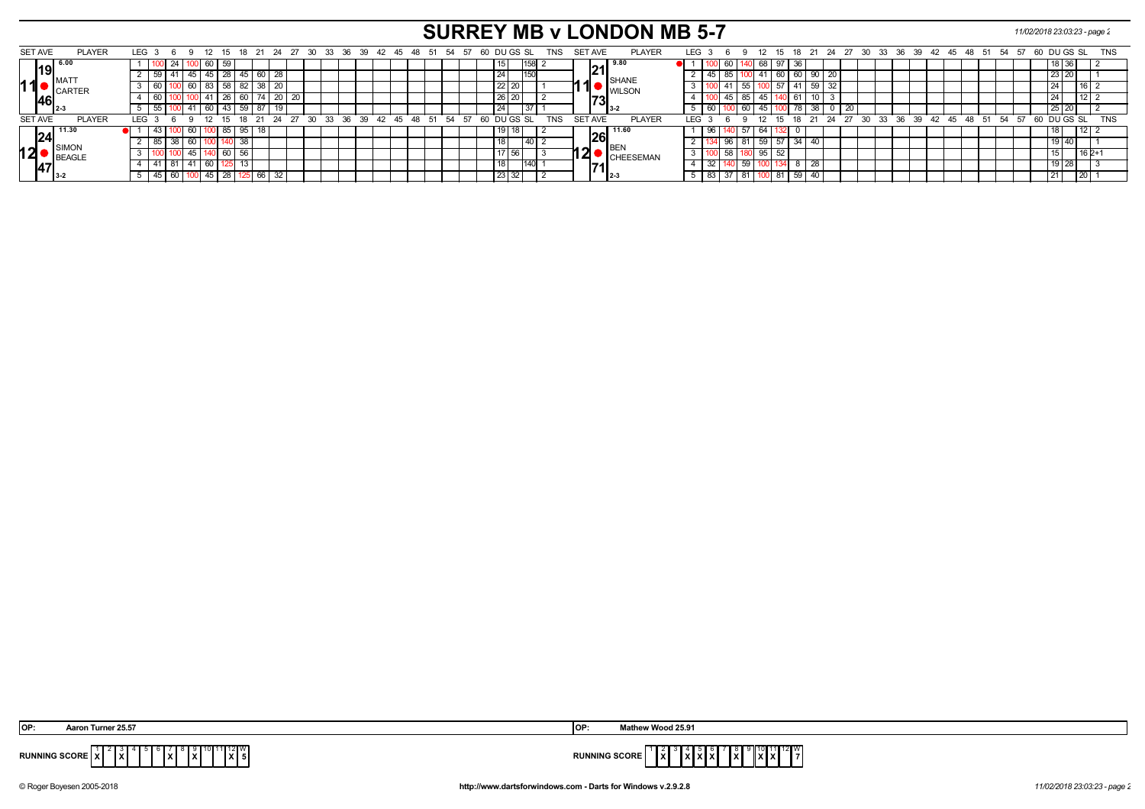# **SURREY MB v LONDON MB 5-7** *11/02/2018 23:03:23 - page 2*

|    | SET AVE        | <b>PLAYER</b>  |           | LEG <sub>3</sub> |    | - 9     | - 12 | - 15                           |                   |    |       |                 |  |  |  |                               |  |  |  |    |           | 18  21  24  27  30  33  36  39  42  45  48  51  54  57  60  DU GS  SL | TNS        | SET AVE |                |                                          | <b>PLAYER</b> | LEG 3      |       | - 6 |                 |     |        |             |            |      |                    |      |       |    | 12 15 18 21 24 27 30 33 36 39 42 45 48 51 54 57 |    |    |      |      | 60 DU GS SL |          |              |                 | <b>TNS</b> |  |
|----|----------------|----------------|-----------|------------------|----|---------|------|--------------------------------|-------------------|----|-------|-----------------|--|--|--|-------------------------------|--|--|--|----|-----------|-----------------------------------------------------------------------|------------|---------|----------------|------------------------------------------|---------------|------------|-------|-----|-----------------|-----|--------|-------------|------------|------|--------------------|------|-------|----|-------------------------------------------------|----|----|------|------|-------------|----------|--------------|-----------------|------------|--|
|    |                |                |           |                  | 24 |         |      | 59                             |                   |    |       |                 |  |  |  |                               |  |  |  |    |           |                                                                       |            |         |                | I 9.80                                   |               |            |       |     |                 |     | 68 I   |             | ാഠ         |      |                    |      |       |    |                                                 |    |    |      |      |             |          |              |                 |            |  |
|    |                | <b>IMAT</b>    |           |                  |    |         |      | 28                             |                   |    |       | $\overline{28}$ |  |  |  |                               |  |  |  | 24 |           |                                                                       |            |         |                | <b>SHANE</b>                             |               |            |       |     |                 |     |        |             | OU         | 90 I |                    |      |       |    |                                                 |    |    |      |      |             |          | <b>23 ZU</b> |                 |            |  |
| 11 |                | <b>CARTER</b>  |           |                  |    | 60 I    |      | $\overline{58}$ $\overline{1}$ | 82                | 38 |       | 20              |  |  |  |                               |  |  |  |    | 22 20     |                                                                       |            |         |                | <b>WILSON</b>                            |               |            |       |     | - 55            |     | ◡      |             |            | 59   |                    |      |       |    |                                                 |    |    |      |      |             |          |              |                 |            |  |
|    |                |                |           |                  |    |         |      | 26                             | 60   74   20   20 |    |       |                 |  |  |  |                               |  |  |  |    | $26$   20 |                                                                       |            |         |                | $\begin{bmatrix} 73 \end{bmatrix}_{3-2}$ |               |            |       |     | 85              |     |        |             |            |      |                    |      |       |    |                                                 |    |    |      |      |             |          |              |                 |            |  |
|    |                |                |           |                  |    |         | 60   |                                | $43$ 59 87        |    | 19    |                 |  |  |  |                               |  |  |  | 24 |           |                                                                       |            |         |                |                                          |               |            | -60 I |     | $\overline{60}$ |     | 45 100 | $\sqrt{78}$ |            | 38 I | $\frac{1}{20}$     |      |       |    |                                                 |    |    |      |      |             |          | 25 20        |                 |            |  |
|    | <b>SET AVE</b> | <b>PLAYER</b>  |           | LEG <sup>3</sup> |    |         |      | 15                             | $18$ 21 24 27     |    |       |                 |  |  |  | 30 33 36 39 42 45 48 51 54 57 |  |  |  |    |           | 60 DU GS SL                                                           | <b>TNS</b> |         | <b>SET AVE</b> |                                          | <b>PLAYER</b> | <b>LEG</b> |       |     |                 | 12  |        |             | $15$ 18 21 |      | $24 \overline{27}$ | ີ 30 | 33 36 | 39 | $42 \quad 45$                                   | 48 | 51 | - 54 | - 57 |             | DU GS SI |              |                 | <b>TNS</b> |  |
|    | 24             | <b>1</b> 11.30 | $\bullet$ |                  |    | - 60 11 |      | $\vert 85 \vert$               | I 95 I            | 18 |       |                 |  |  |  |                               |  |  |  |    |           |                                                                       |            |         |                | $ 26 ^{11.60}$                           |               |            | 96 I  |     | JI 57 I         |     | 64     |             |            |      |                    |      |       |    |                                                 |    |    |      |      |             |          |              | 12 <sub>1</sub> |            |  |
|    |                |                |           |                  | 38 | 60 I    |      |                                | 38                |    |       |                 |  |  |  |                               |  |  |  |    |           |                                                                       |            |         |                |                                          |               |            |       |     |                 |     | 59     | $\vert$ 34  |            |      |                    |      |       |    |                                                 |    |    |      |      |             |          | 1914         |                 |            |  |
| 12 |                | BEAGLE         |           |                  |    |         |      | 60                             | -56               |    |       |                 |  |  |  |                               |  |  |  |    |           |                                                                       |            |         | ◢              | <b>CHEESEMAN</b>                         |               |            |       |     |                 | 95l |        |             |            |      |                    |      |       |    |                                                 |    |    |      |      |             |          |              |                 |            |  |
|    |                |                |           |                  | 81 |         |      |                                |                   |    |       |                 |  |  |  |                               |  |  |  |    |           |                                                                       |            |         |                |                                          |               |            | 32    |     | 59              |     |        |             |            | ററ   |                    |      |       |    |                                                 |    |    |      |      |             |          |              |                 |            |  |
|    |                |                |           |                  | 60 |         |      | 28                             |                   |    | 66 32 |                 |  |  |  |                               |  |  |  |    | 23        | 32                                                                    |            |         |                |                                          |               |            | 83    |     | $\overline{81}$ |     |        |             | 59         | 40 I |                    |      |       |    |                                                 |    |    |      |      |             |          |              | 20 <sub>1</sub> |            |  |

| Aaron Turner 25.57   | Mathew Wood 25.91                                                                                 |
|----------------------|---------------------------------------------------------------------------------------------------|
| IOP:                 | .OP                                                                                               |
| "0"11"12"W           | $\frac{9}{2}$ $\frac{10}{2}$ $\frac{11}{2}$ $\frac{12}{7}$                                        |
| <b>RUNNING SCORL</b> | $\frac{1}{2}$ $\frac{2}{3}$ $\frac{3}{2}$ $\frac{4}{2}$ $\frac{5}{2}$ $\frac{6}{2}$ $\frac{7}{2}$ |
| .                    | .                                                                                                 |
| <b>IAI51</b>         | <b>RUNNING SCORE</b>                                                                              |
| .                    | l x I                                                                                             |
| וגיו                 |                                                                                                   |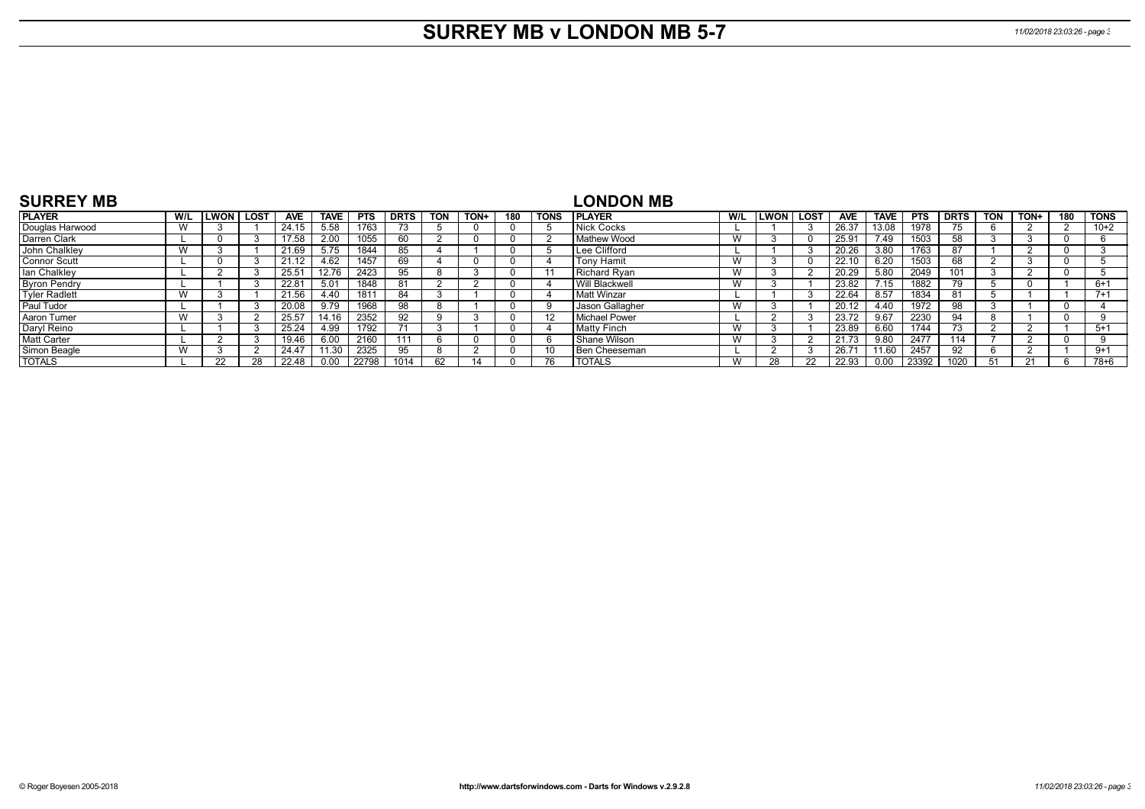# **SURREY MB v LONDON MB 5-7** *11/02/2018 23:03:26 - page 3*

| <b>SURREY MB</b>     |              |      |      |            |             |            |             |            |      |     |      | <b>LONDON MB</b>     |     |                     |            |                 |            |             |            |      |              |        |
|----------------------|--------------|------|------|------------|-------------|------------|-------------|------------|------|-----|------|----------------------|-----|---------------------|------------|-----------------|------------|-------------|------------|------|--------------|--------|
| <b>PLAYER</b>        | W/L          | LWON | LOST | <b>AVE</b> | <b>TAVE</b> | <b>PTS</b> | <b>DRTS</b> | <b>TON</b> | TON+ | 180 | TONS | <b>IPLAYER</b>       | W/L | <b>ILWON   LOST</b> | <b>AVE</b> | <b>TAVE</b>     | <b>PTS</b> | <b>DRTS</b> | <b>TON</b> | TON+ | 180          | l TONS |
| Douglas Harwood      | $\mathbf{M}$ |      |      | 24.15      | 5.58        | 1763       |             |            |      |     |      | Nick Cocks           |     |                     | 26.37      | 13.08           | 1978       |             |            |      |              | $10+2$ |
| Darren Clark         |              |      |      | 17.58      | 2.00        | 1055       | 60          |            |      |     |      | <b>Mathew Wood</b>   | W   |                     | 25.91      | 7.49            | 1503       | 58          |            |      | <sup>0</sup> |        |
| John Chalkley        | W            |      |      | 21.69      | 5.75        | 1844       | 85          |            |      |     |      | Lee Clifford         |     |                     | 20.26      | 3.80            | 1763       | 87          |            |      | 0            |        |
| <b>Connor Scutt</b>  |              |      |      |            | 4.62        | 1457       | 69          |            |      |     |      | <b>Tony Hamit</b>    | W   |                     | 22.10      | 6.20            | 1503       | 68          |            |      | 0            |        |
| lan Chalkley         |              |      |      | 25.51      | 12.76       | 2423       | 95          |            |      |     |      | Richard Ryan         | W   |                     | 20.29      | 5.80            | 2049       | 101         |            |      | - ( )        |        |
| <b>Byron Pendry</b>  |              |      |      | 22.81      | 5.01        | 1848       | -81         |            |      |     |      | Will Blackwell       | W   |                     | 23.82      | $^{\prime}$ .15 | 1882       | 79          |            |      |              | $6+1$  |
| <b>Tyler Radlett</b> | W            |      |      | 21.56      | 4.40        | 1811       | 84          |            |      |     |      | Matt Winzar          |     |                     | 22.64      | 8.57            | 1834       | 81          |            |      |              | $7+1$  |
| Paul Tudor           |              |      |      | 20.08      | 9.79        | 1968       | 98          |            |      |     |      | Jason Gallagher      | W   |                     | 20.12      | 4.40            | 1972       | 98          |            |      | $\Omega$     |        |
| Aaron Turner         | W            |      |      | 25.57      | 14.16       | 2352       | 92          |            |      |     | 12   | <b>Michael Power</b> |     |                     | 23.72      | 9.67            | 2230       | 94          |            |      | $\Omega$     |        |
| Daryl Reino          |              |      |      | 25.24      | 4.99        | 1792       |             |            |      |     |      | <b>Matty Finch</b>   | W   |                     | 23.89      | 6.60            | 1744       |             |            |      |              | $5+1$  |
| <b>Matt Carter</b>   |              |      |      | 19.46      | 6.00        | 2160       |             |            |      |     |      | Shane Wilson         | W   |                     | 21.73      | 9.80            | 2477       | 114         |            |      | $\Omega$     |        |
| Simon Beagle         | W            |      |      | 24.47      | 11.30       | 2325       | 95          |            |      |     | -10  | Ben Cheeseman        |     |                     | 26.71      | 1.60            | 2457       | 92          |            |      |              | $9+1$  |
| <b>TOTALS</b>        |              | 22   |      | 22.48      | 0.00        | 22798      | 1014        | 62         |      |     |      | <b>TOTALS</b>        | W   | 28                  | 22.93      | 0.00            | 23392      | 1020        |            | 21   |              | 78+6   |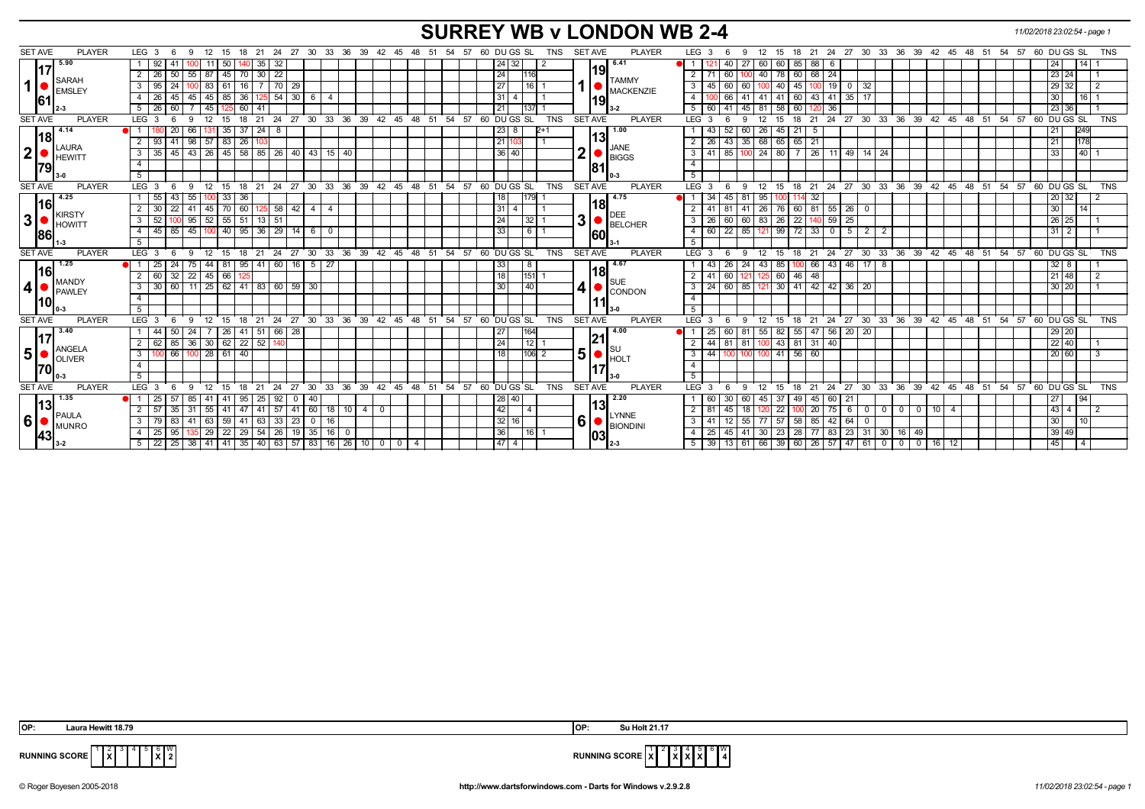## **SURREY WB v LONDON WB 2-4** *11/02/2018 23:02:54 - page 1*

| <b>SET AVE</b>              | <b>PLAYER</b>         | LEG <sub>3</sub>           | -9                       | 15            | 21<br>18                       | -24                                                                   | 27 30              | 33 36          | - 39     | 42 45         |                        | 48 51 | - 54            | 57 60 DU GS SL                                 | <b>TNS</b> | <b>SET AVE</b> | <b>PLAYER</b>                                                      | LEG <sub>3</sub>          |                            | 12          | 15<br>18    |                   | 21  24  27  30  33  36  39  42  45                   |               |                          |                 |                   | - 48 | - 51       | - 54<br>57 | 60 DU GS SL        |         | TNS        |
|-----------------------------|-----------------------|----------------------------|--------------------------|---------------|--------------------------------|-----------------------------------------------------------------------|--------------------|----------------|----------|---------------|------------------------|-------|-----------------|------------------------------------------------|------------|----------------|--------------------------------------------------------------------|---------------------------|----------------------------|-------------|-------------|-------------------|------------------------------------------------------|---------------|--------------------------|-----------------|-------------------|------|------------|------------|--------------------|---------|------------|
|                             | 15.90                 |                            |                          | 50            |                                | 35<br>32                                                              |                    |                |          |               |                        |       |                 | 24<br>32                                       |            |                | 6.41                                                               |                           | 27                         | 60          | 60          | 85<br>88 6        |                                                      |               |                          |                 |                   |      |            |            |                    | 1141    |            |
|                             | 117                   | 2 2 2 6                    | 50<br>55                 | 45<br>l 87    | 70                             | 22<br>30                                                              |                    |                |          |               |                        |       |                 | 24<br>116                                      |            |                | 1191                                                               | 2                         | 60                         |             | 60<br>78    | $68$   24         |                                                      |               |                          |                 |                   |      |            |            | 23 24              |         |            |
| SARAH<br>1<br><b>EMSLEY</b> | 3<br>95               | 24                         | 61<br>83                 |               | 70                             | 29                                                                    |                    |                |          |               |                        |       | $\overline{27}$ | 16                                             |            | <b>TAMMY</b>   | 3<br>45                                                            | 60                        |                            | 40          | 45          | 19<br>$\mathbf 0$ | 32                                                   |               |                          |                 |                   |      |            | 29 I       | 32 <sub>1</sub>    |         |            |
|                             | 61                    | 4<br>-26                   | 45<br>45   45            | 85            | 36                             | 54                                                                    | $30 \quad 6$       | 4              |          |               |                        |       |                 | 31                                             |            |                | $1$ $\bullet$ $\overline{\phantom{a}}$ MACKENZIE                   | $\overline{4}$            | 41                         | -41         | 60<br>41    | 43   41           |                                                      | 35            |                          |                 |                   |      |            |            | 30                 | l 16 I  |            |
|                             |                       | 5   26                     | 60                       | 45            | 60   41                        |                                                                       |                    |                |          |               |                        |       |                 | 21<br>137                                      |            |                | 119                                                                | 5<br>60                   | 45<br>l 41                 | -81         | 60<br>58    |                   | l 36                                                 |               |                          |                 |                   |      |            |            | 23 36              |         |            |
| <b>SET AVE</b>              | <b>PLAYER</b>         | LEG <sup>3</sup>           | $\mathbf{q}$             | 12<br>15      | 21<br>18                       | 24                                                                    | 27 30              | $33 \t36 \t39$ |          |               | $42 \quad 45 \quad 48$ | 51    | 54 57           | 60 DU GS SL                                    | <b>TNS</b> | <b>SET AVE</b> | <b>PLAYER</b>                                                      | <b>LEG</b><br>-3          | <b>q</b>                   | 12          | 18<br>15    |                   | $21 \quad 24 \quad 27 \quad 30 \quad 33 \quad 36$    |               |                          | 39 42           | 45                |      | $48 \t 51$ | 54<br>57   | 60 DU GS SL        |         | TNS        |
|                             | 4.14                  |                            | 20<br>66                 | 35            | $37 \mid 24 \mid$              | 8                                                                     |                    |                |          |               |                        |       |                 | 23 <br>8                                       |            |                | 1.00                                                               | 43                        | 60<br>52                   | 26 45       | 21          | -5                |                                                      |               |                          |                 |                   |      |            |            |                    | 249     |            |
|                             | 18                    | 2   93                     | 41                       | 98 57 83 26   |                                |                                                                       |                    |                |          |               |                        |       |                 | 21                                             |            |                | 13                                                                 | $26$ 43<br>$\overline{2}$ | 35                         |             | 68 65 65 21 |                   |                                                      |               |                          |                 |                   |      |            |            |                    | 178     |            |
| 2                           | <b>LAURA</b>          | $3 \mid 35$                | 45                       |               |                                | 43   26   45   58   85   26   40   43   15   40                       |                    |                |          |               |                        |       |                 | 36 40                                          |            | 2 <sub>l</sub> | $\bigcirc$ JANE<br>BIGGS                                           | 3<br>$41$ 85              |                            | $100$ 24 80 |             | - 7 I             | 26 11 49 14 24                                       |               |                          |                 |                   |      |            |            | $\overline{33}$    | $140$ 1 |            |
|                             | HEWITT                | $\overline{4}$             |                          |               |                                |                                                                       |                    |                |          |               |                        |       |                 |                                                |            |                |                                                                    | $\overline{4}$            |                            |             |             |                   |                                                      |               |                          |                 |                   |      |            |            |                    |         |            |
|                             | 79                    | 5 <sup>5</sup>             |                          |               |                                |                                                                       |                    |                |          |               |                        |       |                 |                                                |            | 81             |                                                                    | 5                         |                            |             |             |                   |                                                      |               |                          |                 |                   |      |            |            |                    |         |            |
|                             |                       |                            |                          |               |                                |                                                                       |                    |                |          |               |                        |       |                 |                                                |            | <b>SET AVE</b> | <b>PLAYER</b>                                                      |                           |                            |             |             |                   |                                                      |               |                          |                 |                   |      |            |            |                    |         |            |
| <b>SET AVE</b>              | <b>PLAYER</b><br>4.25 | LEG <sub>3</sub>           | 9<br>6                   | 12<br>15      | - 21<br>18                     |                                                                       |                    |                |          |               |                        |       |                 | 24 27 30 33 36 39 42 45 48 51 54 57 60 DUGS SL | <b>TNS</b> |                | 4.75                                                               | LEG <sub>3</sub>          | 9<br>-6                    | 12          | 15          |                   | 18 21 24 27 30 33 36 39 42 45 48 51 54 57 60 DUGS SL |               |                          |                 |                   |      |            |            |                    |         | <b>TNS</b> |
|                             | l16l                  | 155                        | 43<br>55   100           | 33            | 36                             |                                                                       |                    |                |          |               |                        |       |                 | 179<br>18                                      |            |                | 18                                                                 | 11<br>-34                 | 81<br>45                   | 95 100      |             | -32               |                                                      |               |                          |                 |                   |      |            |            | 20 32              |         |            |
|                             | <b>KIRSTY</b>         | 2 3 3 0                    | $22 \mid$<br>41   45     | 70            | 60                             | $125$ 58 42 4                                                         |                    | 4              |          |               |                        |       |                 | 31 <br>4                                       |            |                | <b>DEE</b>                                                         | $\overline{2}$<br>41      | l 81<br>41                 | 26 76       |             |                   | 60 81 55 26                                          | - 0           |                          |                 |                   |      |            |            | 30                 | 14      |            |
| 3                           | <b>HOWITT</b>         | $3 \mid 52$                | $95 \mid 52 \mid$<br>100 | 55            | $51 \mid 13 \mid$              | 51                                                                    |                    |                |          |               |                        |       |                 | 24<br> 32                                      |            | 3 <sup>1</sup> | <b>BELCHER</b>                                                     | 3<br>26                   | 60<br>60                   | 83 26       |             | 22                | 25<br>$9 \mid 59 \mid$                               |               |                          |                 |                   |      |            |            | 26 25              |         |            |
|                             | 86                    | 4 4 4 4 5                  | 85<br>45 100             | 40            | $95 \mid 36$                   |                                                                       | $29$ 14 6          | $\mathbf 0$    |          |               |                        |       |                 | 33                                             | $6 \mid 1$ | 60             |                                                                    | $\overline{4}$<br>60      | 85<br>22                   | 121 99      |             | 72                | 5<br>$33$ 0                                          | $2$   2       |                          |                 |                   |      |            |            | $31 \mid 2$        |         |            |
|                             |                       | 5                          |                          |               |                                |                                                                       |                    |                |          |               |                        |       |                 |                                                |            |                |                                                                    | 5                         |                            |             |             |                   |                                                      |               |                          |                 |                   |      |            |            |                    |         |            |
| <b>SET AVE</b>              | <b>PLAYER</b>         | LEG <sub>3</sub>           | -9<br>-6                 | 12            | $^{\circ}$ 21<br>$15 \quad 18$ |                                                                       |                    |                |          |               |                        |       |                 | 24 27 30 33 36 39 42 45 48 51 54 57 60 DUGS SL | <b>TNS</b> | <b>SET AVE</b> | <b>PLAYER</b>                                                      | LEG <sup>3</sup>          | 9<br>-6                    | 12 15       |             |                   | 18 21 24 27 30 33 36 39 42 45 48 51 54 57 60 DUGS SL |               |                          |                 |                   |      |            |            |                    |         | <b>TNS</b> |
|                             | 1.25                  | $\vert$ 25                 | 24<br>$75 \mid 44 \mid$  | 81            | $95 \mid 41$                   | 60                                                                    | $16 \quad 5$       | 27             |          |               |                        |       |                 | 33<br>8                                        |            |                | 4.67<br> 18                                                        | 43                        | 24<br>26                   | 43 85       |             | 100 I             | 66 43                                                | $46$ 17 8     |                          |                 |                   |      |            |            | 32   8             |         |            |
|                             |                       |                            |                          |               |                                |                                                                       |                    |                |          |               |                        |       |                 |                                                |            |                |                                                                    |                           | $\overline{60}$<br>121     | 125 60      |             |                   |                                                      |               |                          |                 |                   |      |            |            | $21 \overline{48}$ |         |            |
|                             | 16                    | $2 \mid 60$                | 32<br>$22 \mid 45 \mid$  | 66            |                                |                                                                       |                    |                |          |               |                        |       |                 | 151<br>18                                      |            |                |                                                                    | $\overline{2}$<br>41      |                            |             |             | 46<br>48          |                                                      |               |                          |                 |                   |      |            |            |                    |         |            |
| $\overline{\mathbf{4}}$     | MANDY<br>PAWLEY       | $\mathbf{3}$<br>$\vert$ 30 | 60<br>$11 \mid 25 \mid$  |               |                                | 62 41 83 60 59 30                                                     |                    |                |          |               |                        |       |                 | 30<br>40                                       |            |                | <b>SUE</b>                                                         | 3<br>24                   | 85<br> 60                  | 121 30      | 41          |                   | 42 42 36 20                                          |               |                          |                 |                   |      |            |            | 30 20              |         |            |
|                             |                       | $\overline{4}$             |                          |               |                                |                                                                       |                    |                |          |               |                        |       |                 |                                                |            |                | $\vert 4 \vert \bullet \vert_\text{CONDOM}^\text{\tiny SUE}$       | $\overline{4}$            |                            |             |             |                   |                                                      |               |                          |                 |                   |      |            |            |                    |         |            |
|                             | 10                    | 5                          |                          |               |                                |                                                                       |                    |                |          |               |                        |       |                 |                                                |            |                | 11                                                                 | 5                         |                            |             |             |                   |                                                      |               |                          |                 |                   |      |            |            |                    |         |            |
| <b>SET AVE</b>              | <b>PLAYER</b>         | LEG <sub>3</sub>           | -9                       | 12<br>15      | 21<br>18                       | 24                                                                    | 27<br>$30^{\circ}$ | 33<br>36       | 39       | $42 \quad 45$ | 48                     | 51    |                 | 54 57 60 DU GS SL                              | <b>TNS</b> | <b>SET AVE</b> | <b>PLAYER</b>                                                      | LEG 3                     | -9                         | 12          | 15<br>18    | 21                | 24                                                   | $27 \cdot 30$ | $33^\circ$               |                 | 36 39 42 45 48 51 |      |            | 54<br>57   | 60 DU GS SL        |         | <b>TNS</b> |
|                             | 3.40                  | l 44                       | 50                       | 26            | 41                             | 66<br>  51                                                            | - 28               |                |          |               |                        |       |                 | 164<br>  27                                    |            |                | 4.00                                                               | 25                        | 81                         | 55          | 55<br>82    | 47                | 20<br>$\vert$ 56                                     | -20           |                          |                 |                   |      |            |            | 29 20              |         |            |
|                             | 17                    | 2 62                       | 85<br>$36 \mid 30 \mid$  |               | $62$   22   52                 |                                                                       |                    |                |          |               |                        |       |                 | 24<br>12                                       |            | 21             |                                                                    | 44<br>2                   | 81<br>l 81                 | $100$ 43    | 81          | $31 \mid 40$      |                                                      |               |                          |                 |                   |      |            |            | 22 40              |         |            |
| 5 <sup>1</sup>              | ANGELA                | $\overline{\phantom{a}3}$  | 66<br>$100$ 28           | 61            | 40                             |                                                                       |                    |                |          |               |                        |       |                 | $\overline{18}$                                | 106 2      |                |                                                                    | 44<br>$\mathbf{3}$        | 100                        | $100$ 41    |             | 56                |                                                      |               |                          |                 |                   |      |            |            | 20 60              |         |            |
|                             | <b>OLIVER</b>         | $\overline{4}$             |                          |               |                                |                                                                       |                    |                |          |               |                        |       |                 |                                                |            |                | $\vert 5 \vert$ $\bullet$ $\vert_{\text{HOLT}}^{\text{\tiny{SU}}}$ | $\overline{4}$            |                            |             |             |                   |                                                      |               |                          |                 |                   |      |            |            |                    |         |            |
| 70                          |                       | 5                          |                          |               |                                |                                                                       |                    |                |          |               |                        |       |                 |                                                |            |                |                                                                    | 5                         |                            |             |             |                   |                                                      |               |                          |                 |                   |      |            |            |                    |         |            |
| <b>SET AVE</b>              | <b>PLAYER</b>         | LEG <sub>3</sub>           | -9                       | - 12<br>15    | 21<br>18                       | 24                                                                    | 27<br>30           | 33             | 36<br>39 | 42            | 45<br>48               | 51    | 54<br>57        | 60 DU GS SL                                    | <b>TNS</b> | <b>SET AVE</b> | <b>PLAYER</b>                                                      | $LEG^3$ 3                 | $\mathbf{Q}$               | 12          | - 15<br>18  | 21                | $^{\circ}$ 24<br>27                                  | 30            | 33<br>36                 | 39              | 42<br>45          | 48   | 51         | 54<br>57   | 60 DU GS SL        |         | <b>TNS</b> |
|                             | 1.35                  | l 25                       | 57<br>85                 | l 41<br>41    | 95                             | 92<br>25                                                              | 40                 |                |          |               |                        |       |                 | 28 40                                          |            |                | 2.20                                                               | 60                        | 60                         | 45          | -37<br>49   | 45                | 21<br>  60                                           |               |                          |                 |                   |      |            |            | 27                 | 94      |            |
|                             | 13                    | $2 \mid 57$                | 35<br>-31                | 55<br>41      | 47                             | 57<br>l 41                                                            | 41<br>60           | 18             | 10   4   | $\mathbf 0$   |                        |       |                 | 42<br>$\overline{4}$                           |            |                | l13l                                                               | 2<br>81                   | 18<br>45                   |             | 22          | 20                | 6<br>75                                              | - 0           | $\mathbf{0}$<br>$\Omega$ | $\mathbf{0}$    | l 10              | 4    |            |            | 43 4               |         |            |
| 6                           | PAULA                 | 3179                       | 83<br>41   63            | 59            | 41                             | 33<br>  63                                                            | 23<br>0            | 16             |          |               |                        |       |                 | 32<br>16                                       |            |                | <b>LYNNE</b>                                                       | $\mathbf{3}$<br>41        | 55<br>12                   | 77 57       | 58          |                   | 85 42<br>64                                          | C             |                          |                 |                   |      |            |            | 30 <sub>1</sub>    | 110     |            |
|                             | MUNRO<br> 43          | 4 25<br>$5 \mid 22$        | 95                       | 22<br>$35$ 29 | $29 \mid 54$                   | 26<br>  25   38   41   41   35   40   63   57   83   16   26   10   0 | 19 35              | 16             |          |               |                        |       |                 | 36                                             | 16 1       |                | $ 6 $ BIONDINI<br> 03                                              | 25<br>$\overline{4}$<br>5 | 41<br>45<br>$39$   13   61 | 30 23       | 28          |                   | 23<br>77 83<br>66 39 60 26 57 47 61 0                | $31 \mid 30$  |                          | 16 49<br>0 0 16 |                   | 12   |            |            | 39 49<br>45        |         |            |

 **OP: Laura Hewitt 18.79 OP: Su Holt 21.17**

**X**

 4 5 6 **X**  $\frac{w}{2}$ 



**RUNNING SCORE**